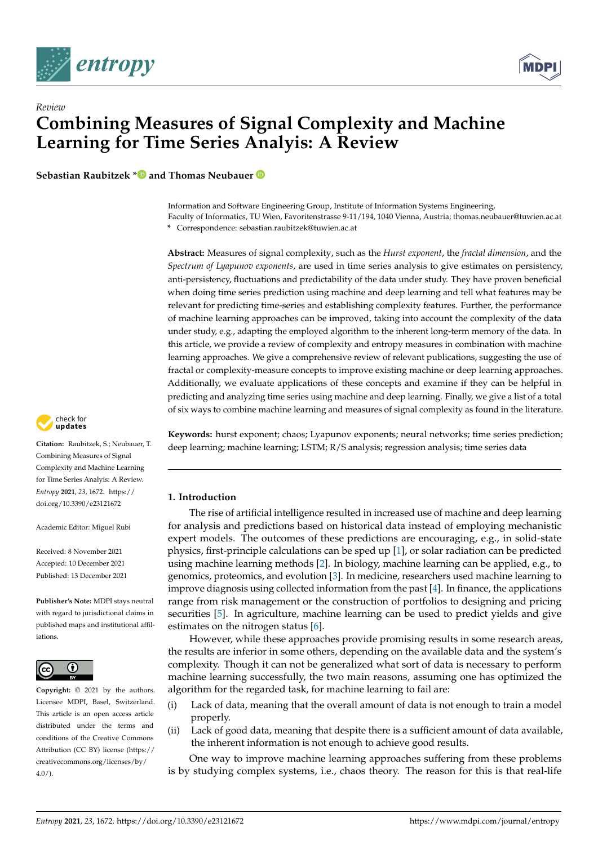

*Review*



# **Combining Measures of Signal Complexity and Machine Learning for Time Series Analyis: A Review**

**Sebastian Raubitzek [\\*](https://orcid.org/0000-0003-2206-9263) and Thomas Neubauer**

Information and Software Engineering Group, Institute of Information Systems Engineering, Faculty of Informatics, TU Wien, Favoritenstrasse 9-11/194, 1040 Vienna, Austria; thomas.neubauer@tuwien.ac.at **\*** Correspondence: sebastian.raubitzek@tuwien.ac.at

**Abstract:** Measures of signal complexity, such as the *Hurst exponent*, the *fractal dimension*, and the *Spectrum of Lyapunov exponents*, are used in time series analysis to give estimates on persistency, anti-persistency, fluctuations and predictability of the data under study. They have proven beneficial when doing time series prediction using machine and deep learning and tell what features may be relevant for predicting time-series and establishing complexity features. Further, the performance of machine learning approaches can be improved, taking into account the complexity of the data under study, e.g., adapting the employed algorithm to the inherent long-term memory of the data. In this article, we provide a review of complexity and entropy measures in combination with machine learning approaches. We give a comprehensive review of relevant publications, suggesting the use of fractal or complexity-measure concepts to improve existing machine or deep learning approaches. Additionally, we evaluate applications of these concepts and examine if they can be helpful in predicting and analyzing time series using machine and deep learning. Finally, we give a list of a total of six ways to combine machine learning and measures of signal complexity as found in the literature.



**Citation:** Raubitzek, S.; Neubauer, T. Combining Measures of Signal Complexity and Machine Learning for Time Series Analyis: A Review. *Entropy* **2021**, *23*, 1672. [https://](https://doi.org/10.3390/e23121672) [doi.org/10.3390/e23121672](https://doi.org/10.3390/e23121672)

Academic Editor: Miguel Rubi

Received: 8 November 2021 Accepted: 10 December 2021 Published: 13 December 2021

**Publisher's Note:** MDPI stays neutral with regard to jurisdictional claims in published maps and institutional affiliations.



**Copyright:** © 2021 by the authors. Licensee MDPI, Basel, Switzerland. This article is an open access article distributed under the terms and conditions of the Creative Commons Attribution (CC BY) license (https:/[/](https://creativecommons.org/licenses/by/4.0/) [creativecommons.org/licenses/by/](https://creativecommons.org/licenses/by/4.0/)  $4.0/$ ).

**Keywords:** hurst exponent; chaos; Lyapunov exponents; neural networks; time series prediction; deep learning; machine learning; LSTM; R/S analysis; regression analysis; time series data

## **1. Introduction**

The rise of artificial intelligence resulted in increased use of machine and deep learning for analysis and predictions based on historical data instead of employing mechanistic expert models. The outcomes of these predictions are encouraging, e.g., in solid-state physics, first-principle calculations can be sped up [\[1\]](#page-22-0), or solar radiation can be predicted using machine learning methods [\[2\]](#page-22-1). In biology, machine learning can be applied, e.g., to genomics, proteomics, and evolution [\[3\]](#page-22-2). In medicine, researchers used machine learning to improve diagnosis using collected information from the past [\[4\]](#page-22-3). In finance, the applications range from risk management or the construction of portfolios to designing and pricing securities [\[5\]](#page-22-4). In agriculture, machine learning can be used to predict yields and give estimates on the nitrogen status [\[6\]](#page-23-0).

However, while these approaches provide promising results in some research areas, the results are inferior in some others, depending on the available data and the system's complexity. Though it can not be generalized what sort of data is necessary to perform machine learning successfully, the two main reasons, assuming one has optimized the algorithm for the regarded task, for machine learning to fail are:

- (i) Lack of data, meaning that the overall amount of data is not enough to train a model properly.
- (ii) Lack of good data, meaning that despite there is a sufficient amount of data available, the inherent information is not enough to achieve good results.

One way to improve machine learning approaches suffering from these problems is by studying complex systems, i.e., chaos theory. The reason for this is that real-life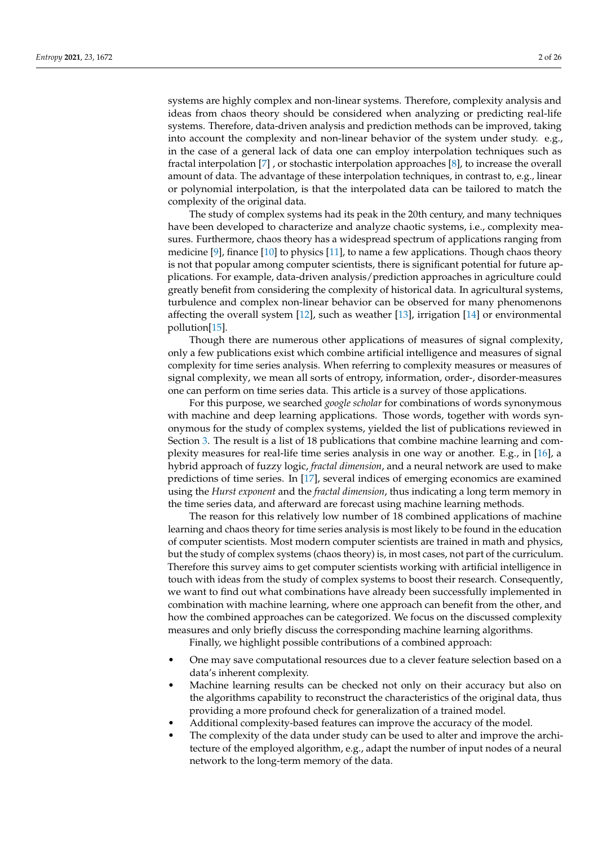systems are highly complex and non-linear systems. Therefore, complexity analysis and ideas from chaos theory should be considered when analyzing or predicting real-life systems. Therefore, data-driven analysis and prediction methods can be improved, taking into account the complexity and non-linear behavior of the system under study. e.g., in the case of a general lack of data one can employ interpolation techniques such as fractal interpolation [\[7\]](#page-23-1) , or stochastic interpolation approaches [\[8\]](#page-23-2), to increase the overall amount of data. The advantage of these interpolation techniques, in contrast to, e.g., linear or polynomial interpolation, is that the interpolated data can be tailored to match the complexity of the original data.

The study of complex systems had its peak in the 20th century, and many techniques have been developed to characterize and analyze chaotic systems, i.e., complexity measures. Furthermore, chaos theory has a widespread spectrum of applications ranging from medicine [\[9\]](#page-23-3), finance [\[10\]](#page-23-4) to physics [\[11\]](#page-23-5), to name a few applications. Though chaos theory is not that popular among computer scientists, there is significant potential for future applications. For example, data-driven analysis/prediction approaches in agriculture could greatly benefit from considering the complexity of historical data. In agricultural systems, turbulence and complex non-linear behavior can be observed for many phenomenons affecting the overall system [\[12\]](#page-23-6), such as weather [\[13\]](#page-23-7), irrigation [\[14\]](#page-23-8) or environmental pollution[\[15\]](#page-23-9).

Though there are numerous other applications of measures of signal complexity, only a few publications exist which combine artificial intelligence and measures of signal complexity for time series analysis. When referring to complexity measures or measures of signal complexity, we mean all sorts of entropy, information, order-, disorder-measures one can perform on time series data. This article is a survey of those applications.

For this purpose, we searched *google scholar* for combinations of words synonymous with machine and deep learning applications. Those words, together with words synonymous for the study of complex systems, yielded the list of publications reviewed in Section [3.](#page-3-0) The result is a list of 18 publications that combine machine learning and complexity measures for real-life time series analysis in one way or another. E.g., in [\[16\]](#page-23-10), a hybrid approach of fuzzy logic, *fractal dimension*, and a neural network are used to make predictions of time series. In [\[17\]](#page-23-11), several indices of emerging economics are examined using the *Hurst exponent* and the *fractal dimension*, thus indicating a long term memory in the time series data, and afterward are forecast using machine learning methods.

The reason for this relatively low number of 18 combined applications of machine learning and chaos theory for time series analysis is most likely to be found in the education of computer scientists. Most modern computer scientists are trained in math and physics, but the study of complex systems (chaos theory) is, in most cases, not part of the curriculum. Therefore this survey aims to get computer scientists working with artificial intelligence in touch with ideas from the study of complex systems to boost their research. Consequently, we want to find out what combinations have already been successfully implemented in combination with machine learning, where one approach can benefit from the other, and how the combined approaches can be categorized. We focus on the discussed complexity measures and only briefly discuss the corresponding machine learning algorithms.

Finally, we highlight possible contributions of a combined approach:

- One may save computational resources due to a clever feature selection based on a data's inherent complexity.
- Machine learning results can be checked not only on their accuracy but also on the algorithms capability to reconstruct the characteristics of the original data, thus providing a more profound check for generalization of a trained model.
- Additional complexity-based features can improve the accuracy of the model.
- The complexity of the data under study can be used to alter and improve the architecture of the employed algorithm, e.g., adapt the number of input nodes of a neural network to the long-term memory of the data.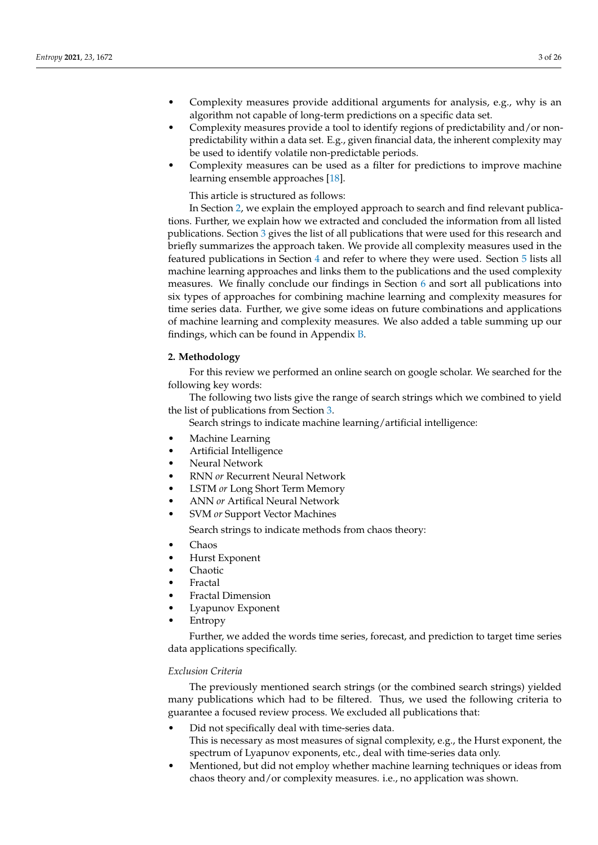- Complexity measures provide additional arguments for analysis, e.g., why is an algorithm not capable of long-term predictions on a specific data set.
- Complexity measures provide a tool to identify regions of predictability and/or nonpredictability within a data set. E.g., given financial data, the inherent complexity may be used to identify volatile non-predictable periods.
- Complexity measures can be used as a filter for predictions to improve machine learning ensemble approaches [\[18\]](#page-23-12).

This article is structured as follows:

In Section [2,](#page-2-0) we explain the employed approach to search and find relevant publications. Further, we explain how we extracted and concluded the information from all listed publications. Section [3](#page-3-0) gives the list of all publications that were used for this research and briefly summarizes the approach taken. We provide all complexity measures used in the featured publications in Section [4](#page-6-0) and refer to where they were used. Section [5](#page-16-0) lists all machine learning approaches and links them to the publications and the used complexity measures. We finally conclude our findings in Section [6](#page-20-0) and sort all publications into six types of approaches for combining machine learning and complexity measures for time series data. Further, we give some ideas on future combinations and applications of machine learning and complexity measures. We also added a table summing up our findings, which can be found in Appendix [B.](#page-22-5)

## <span id="page-2-0"></span>**2. Methodology**

For this review we performed an online search on google scholar. We searched for the following key words:

The following two lists give the range of search strings which we combined to yield the list of publications from Section [3.](#page-3-0)

Search strings to indicate machine learning/artificial intelligence:

- Machine Learning
- Artificial Intelligence
- Neural Network
- RNN *or* Recurrent Neural Network
- LSTM *or* Long Short Term Memory
- ANN *or* Artifical Neural Network
- SVM *or* Support Vector Machines

Search strings to indicate methods from chaos theory:

- Chaos
- Hurst Exponent
- Chaotic
- Fractal
- Fractal Dimension
- Lyapunov Exponent
- **Entropy**

Further, we added the words time series, forecast, and prediction to target time series data applications specifically.

## *Exclusion Criteria*

The previously mentioned search strings (or the combined search strings) yielded many publications which had to be filtered. Thus, we used the following criteria to guarantee a focused review process. We excluded all publications that:

- Did not specifically deal with time-series data. This is necessary as most measures of signal complexity, e.g., the Hurst exponent, the spectrum of Lyapunov exponents, etc., deal with time-series data only.
- Mentioned, but did not employ whether machine learning techniques or ideas from chaos theory and/or complexity measures. i.e., no application was shown.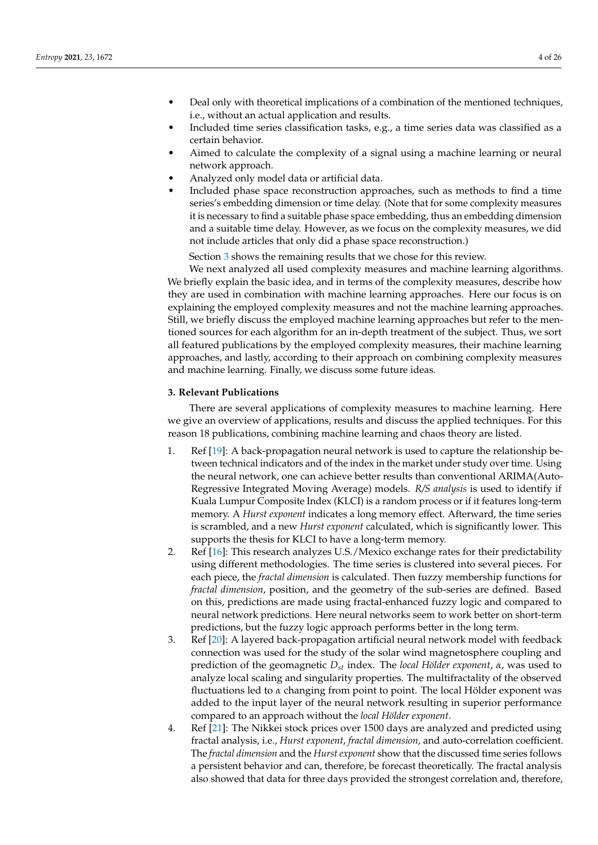- Deal only with theoretical implications of a combination of the mentioned techniques, i.e., without an actual application and results.
- Included time series classification tasks, e.g., a time series data was classified as a certain behavior.
- Aimed to calculate the complexity of a signal using a machine learning or neural network approach.
- Analyzed only model data or artificial data.
- Included phase space reconstruction approaches, such as methods to find a time series's embedding dimension or time delay. (Note that for some complexity measures it is necessary to find a suitable phase space embedding, thus an embedding dimension and a suitable time delay. However, as we focus on the complexity measures, we did not include articles that only did a phase space reconstruction.)

Section [3](#page-3-0) shows the remaining results that we chose for this review.

We next analyzed all used complexity measures and machine learning algorithms. We briefly explain the basic idea, and in terms of the complexity measures, describe how they are used in combination with machine learning approaches. Here our focus is on explaining the employed complexity measures and not the machine learning approaches. Still, we briefly discuss the employed machine learning approaches but refer to the mentioned sources for each algorithm for an in-depth treatment of the subject. Thus, we sort all featured publications by the employed complexity measures, their machine learning approaches, and lastly, according to their approach on combining complexity measures and machine learning. Finally, we discuss some future ideas.

## <span id="page-3-0"></span>**3. Relevant Publications**

There are several applications of complexity measures to machine learning. Here we give an overview of applications, results and discuss the applied techniques. For this reason 18 publications, combining machine learning and chaos theory are listed.

- 1. Ref [\[19\]](#page-23-13): A back-propagation neural network is used to capture the relationship between technical indicators and of the index in the market under study over time. Using the neural network, one can achieve better results than conventional ARIMA(Auto-Regressive Integrated Moving Average) models. *R/S analysis* is used to identify if Kuala Lumpur Composite Index (KLCI) is a random process or if it features long-term memory. A *Hurst exponent* indicates a long memory effect. Afterward, the time series is scrambled, and a new *Hurst exponent* calculated, which is significantly lower. This supports the thesis for KLCI to have a long-term memory.
- 2. Ref [\[16\]](#page-23-10): This research analyzes U.S./Mexico exchange rates for their predictability using different methodologies. The time series is clustered into several pieces. For each piece, the *fractal dimension* is calculated. Then fuzzy membership functions for *fractal dimension*, position, and the geometry of the sub-series are defined. Based on this, predictions are made using fractal-enhanced fuzzy logic and compared to neural network predictions. Here neural networks seem to work better on short-term predictions, but the fuzzy logic approach performs better in the long term.
- 3. Ref [\[20\]](#page-23-14): A layered back-propagation artificial neural network model with feedback connection was used for the study of the solar wind magnetosphere coupling and prediction of the geomagnetic *Dst* index. The *local Hölder exponent*, *α*, was used to analyze local scaling and singularity properties. The multifractality of the observed fluctuations led to *α* changing from point to point. The local Hölder exponent was added to the input layer of the neural network resulting in superior performance compared to an approach without the *local Hölder exponent*.
- 4. Ref [\[21\]](#page-23-15): The Nikkei stock prices over 1500 days are analyzed and predicted using fractal analysis, i.e., *Hurst exponent*, *fractal dimension*, and auto-correlation coefficient. The *fractal dimension* and the *Hurst exponent* show that the discussed time series follows a persistent behavior and can, therefore, be forecast theoretically. The fractal analysis also showed that data for three days provided the strongest correlation and, therefore,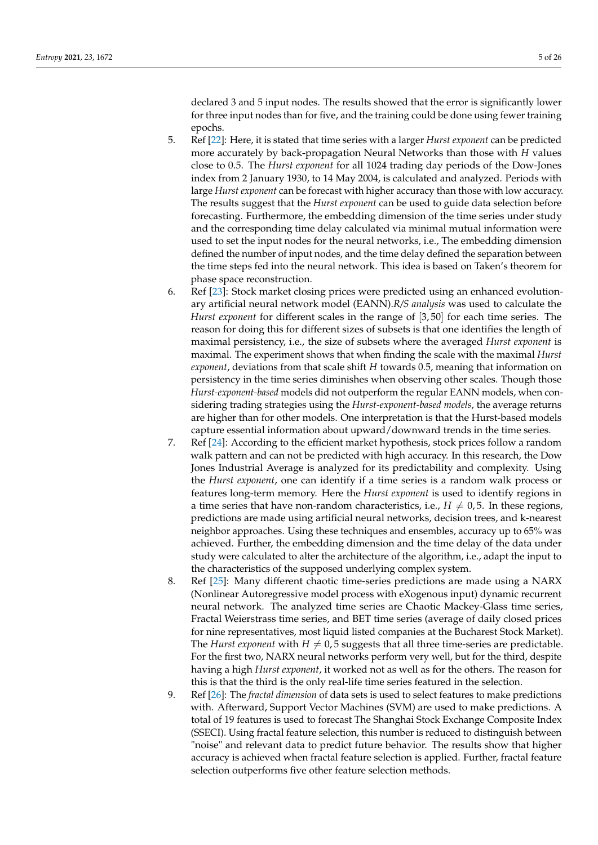declared 3 and 5 input nodes. The results showed that the error is significantly lower for three input nodes than for five, and the training could be done using fewer training epochs.

- 5. Ref [\[22\]](#page-23-16): Here, it is stated that time series with a larger *Hurst exponent* can be predicted more accurately by back-propagation Neural Networks than those with *H* values close to 0.5. The *Hurst exponent* for all 1024 trading day periods of the Dow-Jones index from 2 January 1930, to 14 May 2004, is calculated and analyzed. Periods with large *Hurst exponent* can be forecast with higher accuracy than those with low accuracy. The results suggest that the *Hurst exponent* can be used to guide data selection before forecasting. Furthermore, the embedding dimension of the time series under study and the corresponding time delay calculated via minimal mutual information were used to set the input nodes for the neural networks, i.e., The embedding dimension defined the number of input nodes, and the time delay defined the separation between the time steps fed into the neural network. This idea is based on Taken's theorem for phase space reconstruction.
- 6. Ref [\[23\]](#page-23-17): Stock market closing prices were predicted using an enhanced evolutionary artificial neural network model (EANN).*R/S analysis* was used to calculate the *Hurst exponent* for different scales in the range of [3,50] for each time series. The reason for doing this for different sizes of subsets is that one identifies the length of maximal persistency, i.e., the size of subsets where the averaged *Hurst exponent* is maximal. The experiment shows that when finding the scale with the maximal *Hurst exponent*, deviations from that scale shift *H* towards 0.5, meaning that information on persistency in the time series diminishes when observing other scales. Though those *Hurst-exponent-based* models did not outperform the regular EANN models, when considering trading strategies using the *Hurst-exponent-based models*, the average returns are higher than for other models. One interpretation is that the Hurst-based models capture essential information about upward/downward trends in the time series.
- 7. Ref [\[24\]](#page-23-18): According to the efficient market hypothesis, stock prices follow a random walk pattern and can not be predicted with high accuracy. In this research, the Dow Jones Industrial Average is analyzed for its predictability and complexity. Using the *Hurst exponent*, one can identify if a time series is a random walk process or features long-term memory. Here the *Hurst exponent* is used to identify regions in a time series that have non-random characteristics, i.e.,  $H \neq 0, 5$ . In these regions, predictions are made using artificial neural networks, decision trees, and k-nearest neighbor approaches. Using these techniques and ensembles, accuracy up to 65% was achieved. Further, the embedding dimension and the time delay of the data under study were calculated to alter the architecture of the algorithm, i.e., adapt the input to the characteristics of the supposed underlying complex system.
- 8. Ref [\[25\]](#page-23-19): Many different chaotic time-series predictions are made using a NARX (Nonlinear Autoregressive model process with eXogenous input) dynamic recurrent neural network. The analyzed time series are Chaotic Mackey-Glass time series, Fractal Weierstrass time series, and BET time series (average of daily closed prices for nine representatives, most liquid listed companies at the Bucharest Stock Market). The *Hurst exponent* with  $H \neq 0.5$  suggests that all three time-series are predictable. For the first two, NARX neural networks perform very well, but for the third, despite having a high *Hurst exponent*, it worked not as well as for the others. The reason for this is that the third is the only real-life time series featured in the selection.
- 9. Ref [\[26\]](#page-23-20): The *fractal dimension* of data sets is used to select features to make predictions with. Afterward, Support Vector Machines (SVM) are used to make predictions. A total of 19 features is used to forecast The Shanghai Stock Exchange Composite Index (SSECI). Using fractal feature selection, this number is reduced to distinguish between "noise" and relevant data to predict future behavior. The results show that higher accuracy is achieved when fractal feature selection is applied. Further, fractal feature selection outperforms five other feature selection methods.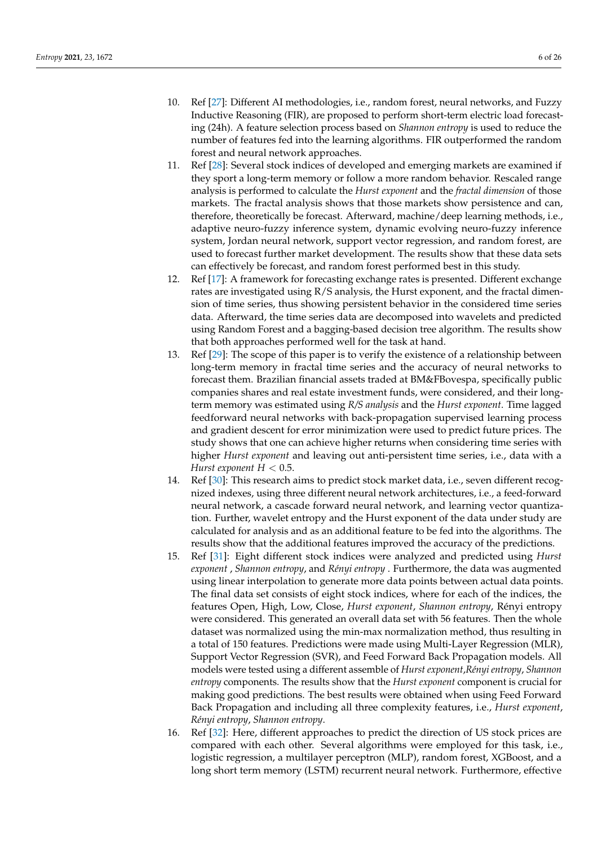- 10. Ref [\[27\]](#page-23-21): Different AI methodologies, i.e., random forest, neural networks, and Fuzzy Inductive Reasoning (FIR), are proposed to perform short-term electric load forecasting (24h). A feature selection process based on *Shannon entropy* is used to reduce the number of features fed into the learning algorithms. FIR outperformed the random forest and neural network approaches.
- 11. Ref [\[28\]](#page-23-22): Several stock indices of developed and emerging markets are examined if they sport a long-term memory or follow a more random behavior. Rescaled range analysis is performed to calculate the *Hurst exponent* and the *fractal dimension* of those markets. The fractal analysis shows that those markets show persistence and can, therefore, theoretically be forecast. Afterward, machine/deep learning methods, i.e., adaptive neuro-fuzzy inference system, dynamic evolving neuro-fuzzy inference system, Jordan neural network, support vector regression, and random forest, are used to forecast further market development. The results show that these data sets can effectively be forecast, and random forest performed best in this study.
- 12. Ref [\[17\]](#page-23-11): A framework for forecasting exchange rates is presented. Different exchange rates are investigated using R/S analysis, the Hurst exponent, and the fractal dimension of time series, thus showing persistent behavior in the considered time series data. Afterward, the time series data are decomposed into wavelets and predicted using Random Forest and a bagging-based decision tree algorithm. The results show that both approaches performed well for the task at hand.
- 13. Ref [\[29\]](#page-23-23): The scope of this paper is to verify the existence of a relationship between long-term memory in fractal time series and the accuracy of neural networks to forecast them. Brazilian financial assets traded at BM&FBovespa, specifically public companies shares and real estate investment funds, were considered, and their longterm memory was estimated using *R/S analysis* and the *Hurst exponent*. Time lagged feedforward neural networks with back-propagation supervised learning process and gradient descent for error minimization were used to predict future prices. The study shows that one can achieve higher returns when considering time series with higher *Hurst exponent* and leaving out anti-persistent time series, i.e., data with a *Hurst exponent*  $H < 0.5$ *.*
- 14. Ref [\[30\]](#page-23-24): This research aims to predict stock market data, i.e., seven different recognized indexes, using three different neural network architectures, i.e., a feed-forward neural network, a cascade forward neural network, and learning vector quantization. Further, wavelet entropy and the Hurst exponent of the data under study are calculated for analysis and as an additional feature to be fed into the algorithms. The results show that the additional features improved the accuracy of the predictions.
- 15. Ref [\[31\]](#page-23-25): Eight different stock indices were analyzed and predicted using *Hurst exponent* , *Shannon entropy*, and *Rényi entropy* . Furthermore, the data was augmented using linear interpolation to generate more data points between actual data points. The final data set consists of eight stock indices, where for each of the indices, the features Open, High, Low, Close, *Hurst exponent*, *Shannon entropy*, Rényi entropy were considered. This generated an overall data set with 56 features. Then the whole dataset was normalized using the min-max normalization method, thus resulting in a total of 150 features. Predictions were made using Multi-Layer Regression (MLR), Support Vector Regression (SVR), and Feed Forward Back Propagation models. All models were tested using a different assemble of *Hurst exponent*,*Rényi entropy*, *Shannon entropy* components. The results show that the *Hurst exponent* component is crucial for making good predictions. The best results were obtained when using Feed Forward Back Propagation and including all three complexity features, i.e., *Hurst exponent*, *Rényi entropy*, *Shannon entropy*.
- 16. Ref [\[32\]](#page-23-26): Here, different approaches to predict the direction of US stock prices are compared with each other. Several algorithms were employed for this task, i.e., logistic regression, a multilayer perceptron (MLP), random forest, XGBoost, and a long short term memory (LSTM) recurrent neural network. Furthermore, effective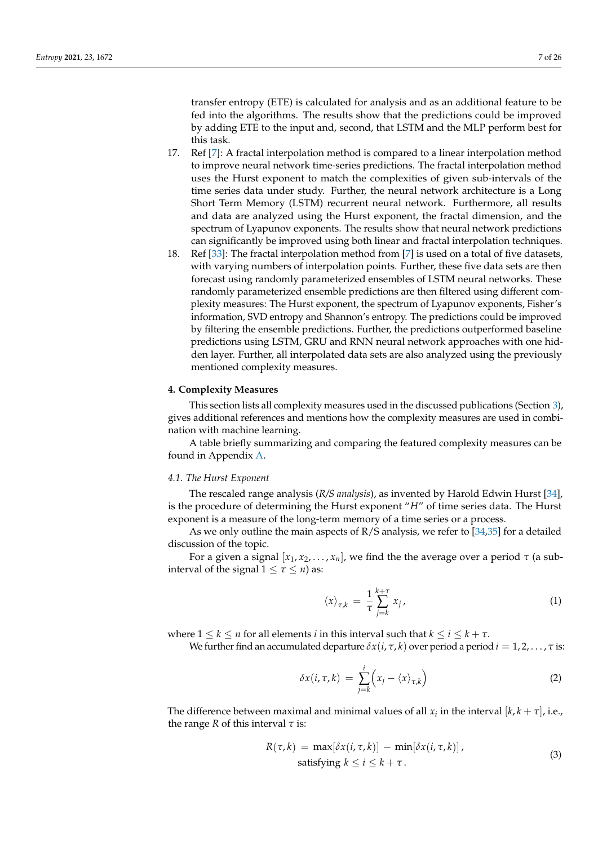transfer entropy (ETE) is calculated for analysis and as an additional feature to be fed into the algorithms. The results show that the predictions could be improved by adding ETE to the input and, second, that LSTM and the MLP perform best for this task.

- 17. Ref [\[7\]](#page-23-1): A fractal interpolation method is compared to a linear interpolation method to improve neural network time-series predictions. The fractal interpolation method uses the Hurst exponent to match the complexities of given sub-intervals of the time series data under study. Further, the neural network architecture is a Long Short Term Memory (LSTM) recurrent neural network. Furthermore, all results and data are analyzed using the Hurst exponent, the fractal dimension, and the spectrum of Lyapunov exponents. The results show that neural network predictions can significantly be improved using both linear and fractal interpolation techniques.
- 18. Ref [\[33\]](#page-23-27): The fractal interpolation method from [\[7\]](#page-23-1) is used on a total of five datasets, with varying numbers of interpolation points. Further, these five data sets are then forecast using randomly parameterized ensembles of LSTM neural networks. These randomly parameterized ensemble predictions are then filtered using different complexity measures: The Hurst exponent, the spectrum of Lyapunov exponents, Fisher's information, SVD entropy and Shannon's entropy. The predictions could be improved by filtering the ensemble predictions. Further, the predictions outperformed baseline predictions using LSTM, GRU and RNN neural network approaches with one hidden layer. Further, all interpolated data sets are also analyzed using the previously mentioned complexity measures.

## <span id="page-6-0"></span>**4. Complexity Measures**

This section lists all complexity measures used in the discussed publications (Section [3\)](#page-3-0), gives additional references and mentions how the complexity measures are used in combination with machine learning.

A table briefly summarizing and comparing the featured complexity measures can be found in Appendix [A.](#page-21-0)

## <span id="page-6-1"></span>*4.1. The Hurst Exponent*

The rescaled range analysis (*R/S analysis*), as invented by Harold Edwin Hurst [\[34\]](#page-23-28), is the procedure of determining the Hurst exponent "*H*" of time series data. The Hurst exponent is a measure of the long-term memory of a time series or a process.

As we only outline the main aspects of R/S analysis, we refer to [\[34,](#page-23-28)[35\]](#page-23-29) for a detailed discussion of the topic.

For a given a signal  $[x_1, x_2, ..., x_n]$ , we find the the average over a period *τ* (a subinterval of the signal  $1 \leq \tau \leq n$ ) as:

$$
\langle x \rangle_{\tau,k} = \frac{1}{\tau} \sum_{j=k}^{k+\tau} x_j \,, \tag{1}
$$

where  $1 \leq k \leq n$  for all elements *i* in this interval such that  $k \leq i \leq k + \tau$ .

We further find an accumulated departure  $\delta x(i, \tau, k)$  over period a period  $i = 1, 2, \ldots, \tau$  is:

$$
\delta x(i,\tau,k) = \sum_{j=k}^{i} \left( x_j - \langle x \rangle_{\tau,k} \right) \tag{2}
$$

The difference between maximal and minimal values of all  $x_i$  in the interval  $[k, k + \tau]$ , i.e., the range *R* of this interval *τ* is:

$$
R(\tau, k) = \max[\delta x(i, \tau, k)] - \min[\delta x(i, \tau, k)],
$$
  
satisfying  $k \le i \le k + \tau$ . (3)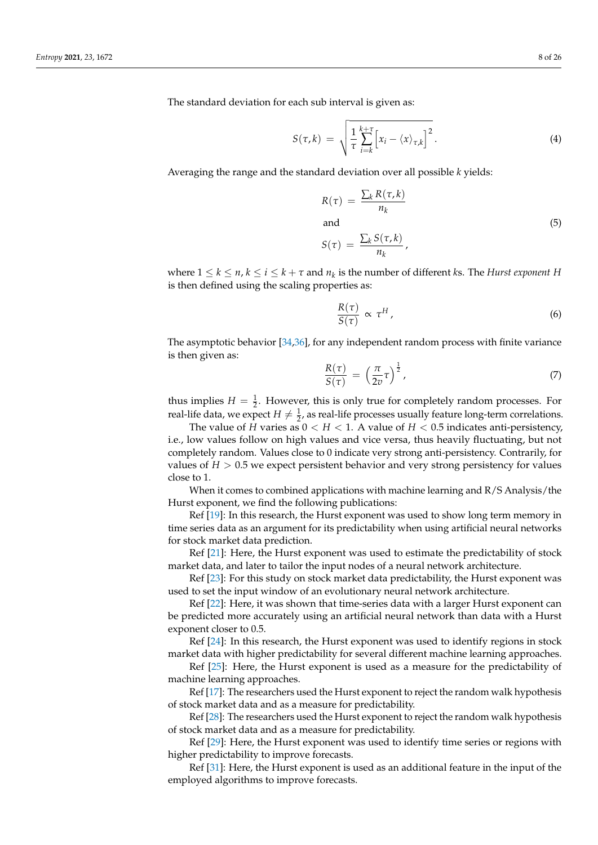The standard deviation for each sub interval is given as:

$$
S(\tau,k) = \sqrt{\frac{1}{\tau} \sum_{i=k}^{k+\tau} \left[ x_i - \langle x \rangle_{\tau,k} \right]^2}.
$$
 (4)

Averaging the range and the standard deviation over all possible *k* yields:

$$
R(\tau) = \frac{\sum_{k} R(\tau, k)}{n_k}
$$
  
and (5)

$$
S(\tau) = \frac{\sum_k S(\tau, k)}{n_k},
$$

where  $1 \leq k \leq n$ ,  $k \leq i \leq k + \tau$  and  $n_k$  is the number of different *k*s. The *Hurst exponent H* is then defined using the scaling properties as:

$$
\frac{R(\tau)}{S(\tau)} \propto \tau^H, \tag{6}
$$

The asymptotic behavior [\[34](#page-23-28)[,36\]](#page-23-30), for any independent random process with finite variance is then given as:

$$
\frac{R(\tau)}{S(\tau)} = \left(\frac{\pi}{2v}\tau\right)^{\frac{1}{2}},\tag{7}
$$

thus implies  $H = \frac{1}{2}$ . However, this is only true for completely random processes. For real-life data, we expect  $H \neq \frac{1}{2}$ , as real-life processes usually feature long-term correlations.

The value of *H* varies as  $0 < H < 1$ . A value of  $H < 0.5$  indicates anti-persistency, i.e., low values follow on high values and vice versa, thus heavily fluctuating, but not completely random. Values close to 0 indicate very strong anti-persistency. Contrarily, for values of  $H > 0.5$  we expect persistent behavior and very strong persistency for values close to 1.

When it comes to combined applications with machine learning and R/S Analysis/the Hurst exponent, we find the following publications:

Ref [\[19\]](#page-23-13): In this research, the Hurst exponent was used to show long term memory in time series data as an argument for its predictability when using artificial neural networks for stock market data prediction.

Ref [\[21\]](#page-23-15): Here, the Hurst exponent was used to estimate the predictability of stock market data, and later to tailor the input nodes of a neural network architecture.

Ref [\[23\]](#page-23-17): For this study on stock market data predictability, the Hurst exponent was used to set the input window of an evolutionary neural network architecture.

Ref [\[22\]](#page-23-16): Here, it was shown that time-series data with a larger Hurst exponent can be predicted more accurately using an artificial neural network than data with a Hurst exponent closer to 0.5.

Ref [\[24\]](#page-23-18): In this research, the Hurst exponent was used to identify regions in stock market data with higher predictability for several different machine learning approaches.

Ref [\[25\]](#page-23-19): Here, the Hurst exponent is used as a measure for the predictability of machine learning approaches.

Ref [\[17\]](#page-23-11): The researchers used the Hurst exponent to reject the random walk hypothesis of stock market data and as a measure for predictability.

Ref [\[28\]](#page-23-22): The researchers used the Hurst exponent to reject the random walk hypothesis of stock market data and as a measure for predictability.

Ref [\[29\]](#page-23-23): Here, the Hurst exponent was used to identify time series or regions with higher predictability to improve forecasts.

Ref [\[31\]](#page-23-25): Here, the Hurst exponent is used as an additional feature in the input of the employed algorithms to improve forecasts.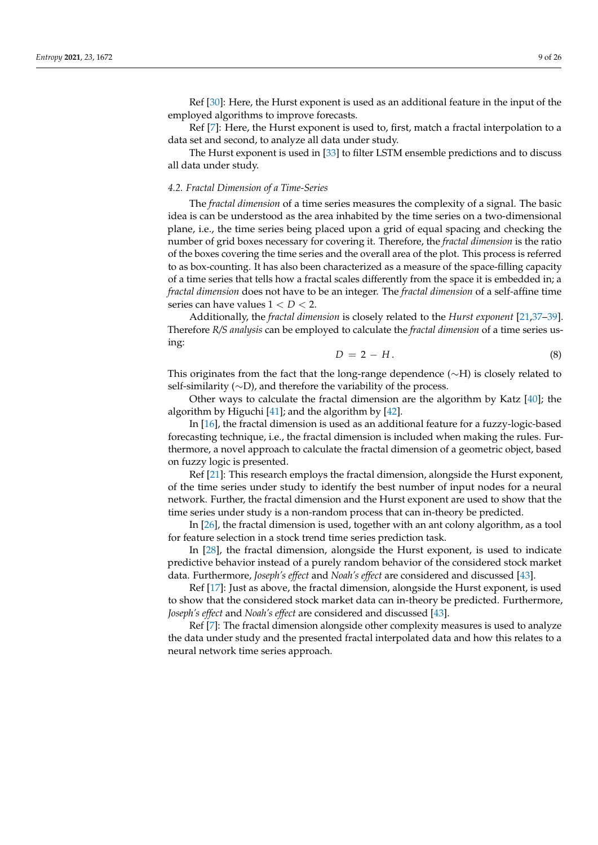Ref [\[30\]](#page-23-24): Here, the Hurst exponent is used as an additional feature in the input of the employed algorithms to improve forecasts.

Ref [\[7\]](#page-23-1): Here, the Hurst exponent is used to, first, match a fractal interpolation to a data set and second, to analyze all data under study.

The Hurst exponent is used in [\[33\]](#page-23-27) to filter LSTM ensemble predictions and to discuss all data under study.

#### <span id="page-8-0"></span>*4.2. Fractal Dimension of a Time-Series*

The *fractal dimension* of a time series measures the complexity of a signal. The basic idea is can be understood as the area inhabited by the time series on a two-dimensional plane, i.e., the time series being placed upon a grid of equal spacing and checking the number of grid boxes necessary for covering it. Therefore, the *fractal dimension* is the ratio of the boxes covering the time series and the overall area of the plot. This process is referred to as box-counting. It has also been characterized as a measure of the space-filling capacity of a time series that tells how a fractal scales differently from the space it is embedded in; a *fractal dimension* does not have to be an integer. The *fractal dimension* of a self-affine time series can have values 1 < *D* < 2.

Additionally, the *fractal dimension* is closely related to the *Hurst exponent* [\[21,](#page-23-15)[37](#page-23-31)[–39\]](#page-23-32). Therefore *R/S analysis* can be employed to calculate the *fractal dimension* of a time series using:

$$
D = 2 - H. \tag{8}
$$

This originates from the fact that the long-range dependence (∼H) is closely related to self-similarity (∼D), and therefore the variability of the process.

Other ways to calculate the fractal dimension are the algorithm by Katz  $[40]$ ; the algorithm by Higuchi [\[41\]](#page-24-0); and the algorithm by [\[42\]](#page-24-1).

In [\[16\]](#page-23-10), the fractal dimension is used as an additional feature for a fuzzy-logic-based forecasting technique, i.e., the fractal dimension is included when making the rules. Furthermore, a novel approach to calculate the fractal dimension of a geometric object, based on fuzzy logic is presented.

Ref [\[21\]](#page-23-15): This research employs the fractal dimension, alongside the Hurst exponent, of the time series under study to identify the best number of input nodes for a neural network. Further, the fractal dimension and the Hurst exponent are used to show that the time series under study is a non-random process that can in-theory be predicted.

In [\[26\]](#page-23-20), the fractal dimension is used, together with an ant colony algorithm, as a tool for feature selection in a stock trend time series prediction task.

In [\[28\]](#page-23-22), the fractal dimension, alongside the Hurst exponent, is used to indicate predictive behavior instead of a purely random behavior of the considered stock market data. Furthermore, *Joseph's effect* and *Noah's effect* are considered and discussed [\[43\]](#page-24-2).

Ref [\[17\]](#page-23-11): Just as above, the fractal dimension, alongside the Hurst exponent, is used to show that the considered stock market data can in-theory be predicted. Furthermore, *Joseph's effect* and *Noah's effect* are considered and discussed [\[43\]](#page-24-2).

Ref [\[7\]](#page-23-1): The fractal dimension alongside other complexity measures is used to analyze the data under study and the presented fractal interpolated data and how this relates to a neural network time series approach.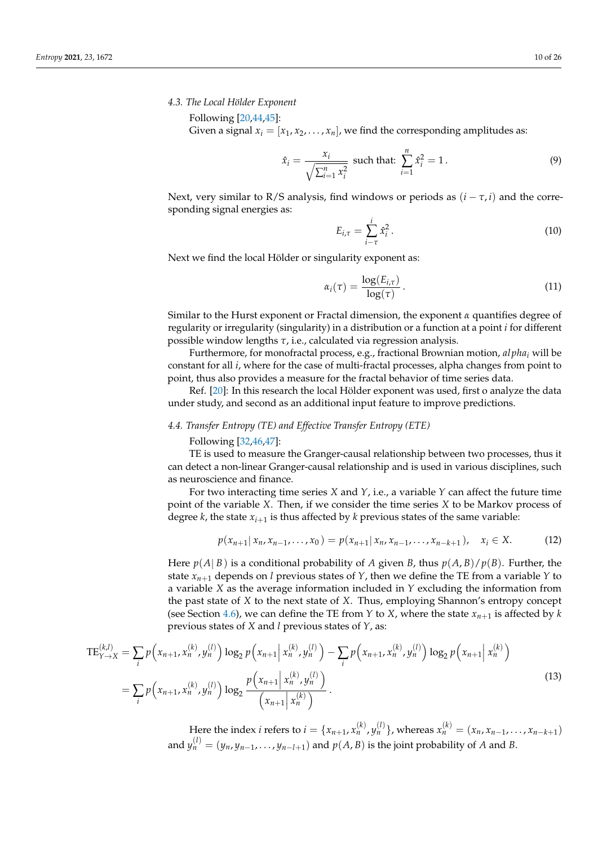## *4.3. The Local Hölder Exponent*

Following [\[20,](#page-23-14)[44,](#page-24-3)[45\]](#page-24-4):

Given a signal  $x_i = [x_1, x_2, \ldots, x_n]$ , we find the corresponding amplitudes as:

$$
\hat{x}_i = \frac{x_i}{\sqrt{\sum_{i=1}^n x_i^2}} \text{ such that: } \sum_{i=1}^n \hat{x}_i^2 = 1. \tag{9}
$$

Next, very similar to R/S analysis, find windows or periods as  $(i - \tau, i)$  and the corresponding signal energies as:

$$
E_{i,\tau} = \sum_{i-\tau}^{i} \hat{x}_i^2.
$$
 (10)

Next we find the local Hölder or singularity exponent as:

$$
\alpha_i(\tau) = \frac{\log(E_{i,\tau})}{\log(\tau)}.
$$
\n(11)

Similar to the Hurst exponent or Fractal dimension, the exponent *α* quantifies degree of regularity or irregularity (singularity) in a distribution or a function at a point *i* for different possible window lengths *τ*, i.e., calculated via regression analysis.

Furthermore, for monofractal process, e.g., fractional Brownian motion, *al pha<sup>i</sup>* will be constant for all *i*, where for the case of multi-fractal processes, alpha changes from point to point, thus also provides a measure for the fractal behavior of time series data.

Ref. [\[20\]](#page-23-14): In this research the local Hölder exponent was used, first o analyze the data under study, and second as an additional input feature to improve predictions.

## <span id="page-9-0"></span>*4.4. Transfer Entropy (TE) and Effective Transfer Entropy (ETE)*

Following [\[32,](#page-23-26)[46,](#page-24-5)[47\]](#page-24-6):

TE is used to measure the Granger-causal relationship between two processes, thus it can detect a non-linear Granger-causal relationship and is used in various disciplines, such as neuroscience and finance.

For two interacting time series *X* and *Y*, i.e., a variable *Y* can affect the future time point of the variable *X*. Then, if we consider the time series *X* to be Markov process of degree *k*, the state *xi*+<sup>1</sup> is thus affected by *k* previous states of the same variable:

$$
p(x_{n+1}|x_n, x_{n-1}, \dots, x_0) = p(x_{n+1}|x_n, x_{n-1}, \dots, x_{n-k+1}), \quad x_i \in X. \tag{12}
$$

Here  $p(A|B)$  is a conditional probability of *A* given *B*, thus  $p(A,B)/p(B)$ . Further, the state  $x_{n+1}$  depends on *l* previous states of *Y*, then we define the TE from a variable *Y* to a variable *X* as the average information included in *Y* excluding the information from the past state of *X* to the next state of *X*. Thus, employing Shannon's entropy concept (see Section [4.6\)](#page-11-0), we can define the TE from *Y* to *X*, where the state  $x_{n+1}$  is affected by *k* previous states of *X* and *l* previous states of *Y*, as:

$$
TE_{Y \to X}^{(k,l)} = \sum_{i} p\left(x_{n+1}, x_n^{(k)}, y_n^{(l)}\right) \log_2 p\left(x_{n+1} \mid x_n^{(k)}, y_n^{(l)}\right) - \sum_{i} p\left(x_{n+1}, x_n^{(k)}, y_n^{(l)}\right) \log_2 p\left(x_{n+1} \mid x_n^{(k)}\right)
$$

$$
= \sum_{i} p\left(x_{n+1}, x_n^{(k)}, y_n^{(l)}\right) \log_2 \frac{p\left(x_{n+1} \mid x_n^{(k)}, y_n^{(l)}\right)}{\left(x_{n+1} \mid x_n^{(k)}\right)}.
$$
(13)

Here the index *i* refers to  $i = \{x_{n+1}, x_n^{(k)}, y_n^{(l)}\}$ , whereas  $x_n^{(k)} = (x_n, x_{n-1}, \ldots, x_{n-k+1})$ and  $y_n^{(l)} = (y_n, y_{n-1}, \ldots, y_{n-l+1})$  and  $p(A, B)$  is the joint probability of  $A$  and  $B$ .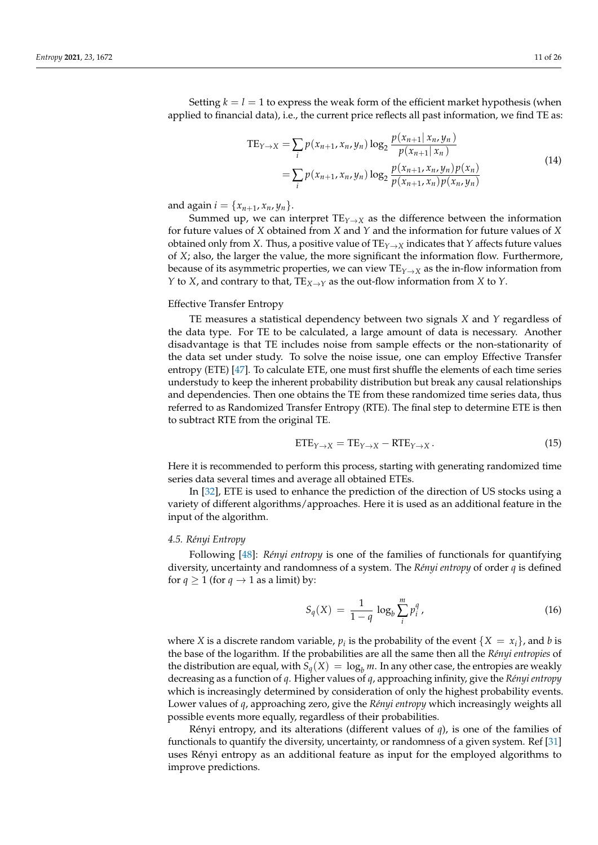Setting  $k = l = 1$  to express the weak form of the efficient market hypothesis (when applied to financial data), i.e., the current price reflects all past information, we find TE as:

$$
TE_{Y\to X} = \sum_{i} p(x_{n+1}, x_n, y_n) \log_2 \frac{p(x_{n+1} | x_n, y_n)}{p(x_{n+1} | x_n)}
$$
  
= 
$$
\sum_{i} p(x_{n+1}, x_n, y_n) \log_2 \frac{p(x_{n+1}, x_n, y_n) p(x_n)}{p(x_{n+1}, x_n) p(x_n, y_n)}
$$
 (14)

and again  $i = \{x_{n+1}, x_n, y_n\}.$ 

Summed up, we can interpret  $TE_{Y\rightarrow X}$  as the difference between the information for future values of *X* obtained from *X* and *Y* and the information for future values of *X* obtained only from *X*. Thus, a positive value of  $TE_{Y\to X}$  indicates that *Y* affects future values of *X*; also, the larger the value, the more significant the information flow. Furthermore, because of its asymmetric properties, we can view  $TE_{Y\to X}$  as the in-flow information from *Y* to *X*, and contrary to that,  $TE_{X\rightarrow Y}$  as the out-flow information from *X* to *Y*.

### Effective Transfer Entropy

TE measures a statistical dependency between two signals *X* and *Y* regardless of the data type. For TE to be calculated, a large amount of data is necessary. Another disadvantage is that TE includes noise from sample effects or the non-stationarity of the data set under study. To solve the noise issue, one can employ Effective Transfer entropy (ETE) [\[47\]](#page-24-6). To calculate ETE, one must first shuffle the elements of each time series understudy to keep the inherent probability distribution but break any causal relationships and dependencies. Then one obtains the TE from these randomized time series data, thus referred to as Randomized Transfer Entropy (RTE). The final step to determine ETE is then to subtract RTE from the original TE.

$$
ETE_{Y \to X} = TE_{Y \to X} - RTE_{Y \to X}.
$$
\n(15)

Here it is recommended to perform this process, starting with generating randomized time series data several times and average all obtained ETEs.

In [\[32\]](#page-23-26), ETE is used to enhance the prediction of the direction of US stocks using a variety of different algorithms/approaches. Here it is used as an additional feature in the input of the algorithm.

#### <span id="page-10-0"></span>*4.5. Rényi Entropy*

Following [\[48\]](#page-24-7): *Rényi entropy* is one of the families of functionals for quantifying diversity, uncertainty and randomness of a system. The *Rényi entropy* of order *q* is defined for  $q \ge 1$  (for  $q \to 1$  as a limit) by:

$$
S_q(X) = \frac{1}{1-q} \log_b \sum_{i}^{m} p_i^q,
$$
 (16)

where *X* is a discrete random variable,  $p_i$  is the probability of the event  $\{X = x_i\}$ , and *b* is the base of the logarithm. If the probabilities are all the same then all the *Rényi entropies* of the distribution are equal, with  $S_q(X) = \log_b m$ . In any other case, the entropies are weakly decreasing as a function of *q*. Higher values of *q*, approaching infinity, give the *Rényi entropy* which is increasingly determined by consideration of only the highest probability events. Lower values of *q*, approaching zero, give the *Rényi entropy* which increasingly weights all possible events more equally, regardless of their probabilities.

Rényi entropy, and its alterations (different values of *q*), is one of the families of functionals to quantify the diversity, uncertainty, or randomness of a given system. Ref [\[31\]](#page-23-25) uses Rényi entropy as an additional feature as input for the employed algorithms to improve predictions.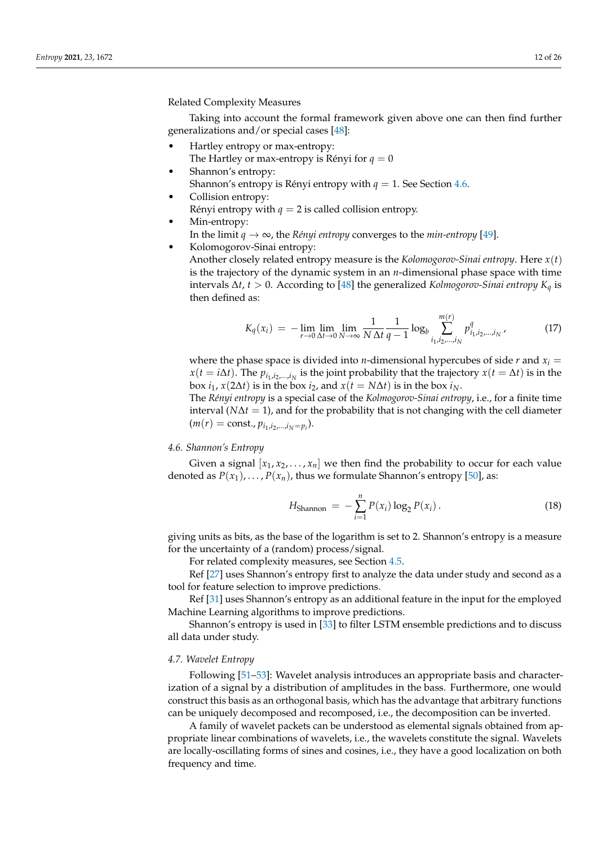Related Complexity Measures

Taking into account the formal framework given above one can then find further generalizations and/or special cases [\[48\]](#page-24-7):

- Hartley entropy or max-entropy:
- The Hartley or max-entropy is Rényi for  $q = 0$
- Shannon's entropy:
	- Shannon's entropy is Rényi entropy with  $q = 1$ . See Section [4.6.](#page-11-0)
- Collision entropy:
	- Rényi entropy with  $q = 2$  is called collision entropy.
- Min-entropy:
	- In the limit *q* → ∞, the *Rényi entropy* converges to the *min-entropy* [\[49\]](#page-24-8).
	- Kolomogorov-Sinai entropy: Another closely related entropy measure is the *Kolomogorov-Sinai entropy*. Here *x*(*t*) is the trajectory of the dynamic system in an *n*-dimensional phase space with time intervals ∆*t*, *t* > 0. According to [\[48\]](#page-24-7) the generalized *Kolmogorov-Sinai entropy K<sup>q</sup>* is then defined as:

$$
K_q(x_i) = -\lim_{r \to 0} \lim_{\Delta t \to 0} \lim_{N \to \infty} \frac{1}{N \Delta t} \frac{1}{q-1} \log_b \sum_{i_1, i_2, \dots, i_N}^{m(r)} p_{i_1, i_2, \dots, i_N}^q \, , \tag{17}
$$

where the phase space is divided into *n*-dimensional hypercubes of side *r* and  $x_i =$  $x(t = i\Delta t)$ . The  $p_{i_1,i_2,...,i_N}$  is the joint probability that the trajectory  $x(t = \Delta t)$  is in the box *i*<sub>1</sub>, *x*(2∆*t*) is in the box *i*<sub>2</sub>, and *x*(*t* = *N*∆*t*) is in the box *i*<sub>*N*</sub>.

The *Rényi entropy* is a special case of the *Kolmogorov-Sinai entropy*, i.e., for a finite time interval ( $N\Delta t = 1$ ), and for the probability that is not changing with the cell diameter  $(m(r) = \text{const.}, p_{i_1, i_2, \dots, i_N = p_i}).$ 

## <span id="page-11-0"></span>*4.6. Shannon's Entropy*

Given a signal  $[x_1, x_2, \ldots, x_n]$  we then find the probability to occur for each value denoted as  $P(x_1), \ldots, P(x_n)$ , thus we formulate Shannon's entropy [\[50\]](#page-24-9), as:

$$
H_{\text{Shannon}} = -\sum_{i=1}^{n} P(x_i) \log_2 P(x_i).
$$
 (18)

giving units as bits, as the base of the logarithm is set to 2. Shannon's entropy is a measure for the uncertainty of a (random) process/signal.

For related complexity measures, see Section [4.5.](#page-10-0)

Ref [\[27\]](#page-23-21) uses Shannon's entropy first to analyze the data under study and second as a tool for feature selection to improve predictions.

Ref [\[31\]](#page-23-25) uses Shannon's entropy as an additional feature in the input for the employed Machine Learning algorithms to improve predictions.

Shannon's entropy is used in [\[33\]](#page-23-27) to filter LSTM ensemble predictions and to discuss all data under study.

#### *4.7. Wavelet Entropy*

Following [\[51](#page-24-10)[–53\]](#page-24-11): Wavelet analysis introduces an appropriate basis and characterization of a signal by a distribution of amplitudes in the bass. Furthermore, one would construct this basis as an orthogonal basis, which has the advantage that arbitrary functions can be uniquely decomposed and recomposed, i.e., the decomposition can be inverted.

A family of wavelet packets can be understood as elemental signals obtained from appropriate linear combinations of wavelets, i.e., the wavelets constitute the signal. Wavelets are locally-oscillating forms of sines and cosines, i.e., they have a good localization on both frequency and time.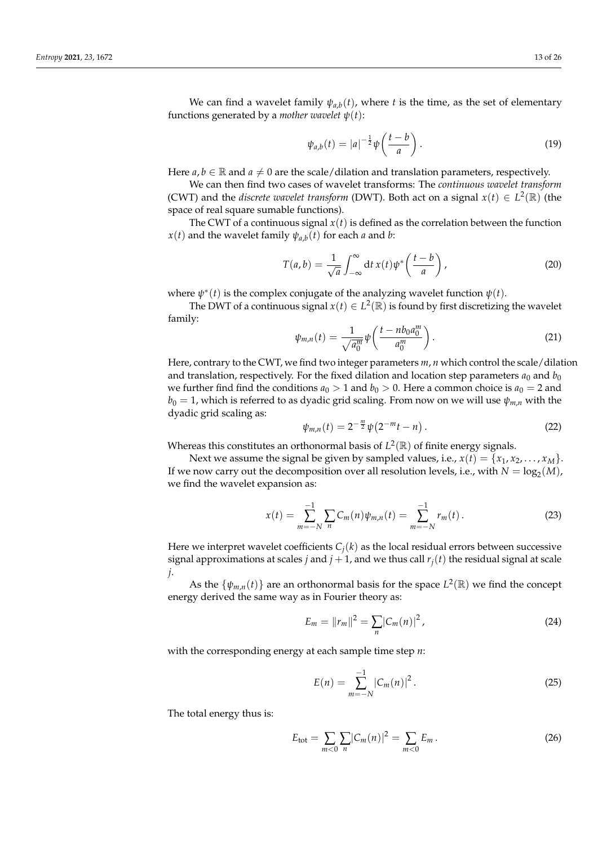We can find a wavelet family  $\psi_{a,b}(t)$ , where *t* is the time, as the set of elementary functions generated by a *mother wavelet*  $\psi(t)$ :

$$
\psi_{a,b}(t) = |a|^{-\frac{1}{2}} \psi\left(\frac{t-b}{a}\right). \tag{19}
$$

Here  $a, b \in \mathbb{R}$  and  $a \neq 0$  are the scale/dilation and translation parameters, respectively.

We can then find two cases of wavelet transforms: The *continuous wavelet transform* (CWT) and the *discrete wavelet transform* (DWT). Both act on a signal  $x(t) \in L^2(\mathbb{R})$  (the space of real square sumable functions).

The CWT of a continuous signal  $x(t)$  is defined as the correlation between the function *x*(*t*) and the wavelet family  $\psi_{a,b}(t)$  for each *a* and *b*:

$$
T(a,b) = \frac{1}{\sqrt{a}} \int_{-\infty}^{\infty} dt \, x(t) \psi^* \left( \frac{t-b}{a} \right), \tag{20}
$$

where  $\psi^*(t)$  is the complex conjugate of the analyzing wavelet function  $\psi(t)$ .

The DWT of a continuous signal  $x(t) \in L^2(\mathbb{R})$  is found by first discretizing the wavelet family:

$$
\psi_{m,n}(t) = \frac{1}{\sqrt{a_0^m}} \psi\left(\frac{t - nb_0 a_0^m}{a_0^m}\right).
$$
 (21)

Here, contrary to the CWT, we find two integer parameters *m*, *n* which control the scale/dilation and translation, respectively. For the fixed dilation and location step parameters  $a_0$  and  $b_0$ we further find find the conditions  $a_0 > 1$  and  $b_0 > 0$ . Here a common choice is  $a_0 = 2$  and  $b_0 = 1$ , which is referred to as dyadic grid scaling. From now on we will use  $\psi_{m,n}$  with the dyadic grid scaling as:

$$
\psi_{m,n}(t) = 2^{-\frac{m}{2}} \psi(2^{-m}t - n) \,. \tag{22}
$$

Whereas this constitutes an orthonormal basis of  $L^2(\mathbb{R})$  of finite energy signals.

Next we assume the signal be given by sampled values, i.e.,  $x(t) = \{x_1, x_2, \ldots, x_M\}$ . If we now carry out the decomposition over all resolution levels, i.e., with  $N = \log_2(M)$ , we find the wavelet expansion as:

$$
x(t) = \sum_{m=-N}^{-1} \sum_{n} C_m(n) \psi_{m,n}(t) = \sum_{m=-N}^{-1} r_m(t).
$$
 (23)

Here we interpret wavelet coefficients  $C_i(k)$  as the local residual errors between successive signal approximations at scales *j* and  $j + 1$ , and we thus call  $r<sub>i</sub>(t)$  the residual signal at scale *j*.

As the  $\{\psi_{m,n}(t)\}\$  are an orthonormal basis for the space  $L^2(\mathbb{R})$  we find the concept energy derived the same way as in Fourier theory as:

$$
E_m = ||r_m||^2 = \sum_n |C_m(n)|^2,
$$
\n(24)

with the corresponding energy at each sample time step *n*:

$$
E(n) = \sum_{m=-N}^{-1} |C_m(n)|^2.
$$
 (25)

The total energy thus is:

$$
E_{\text{tot}} = \sum_{m < 0} \sum_{n} |C_m(n)|^2 = \sum_{m < 0} E_m \,. \tag{26}
$$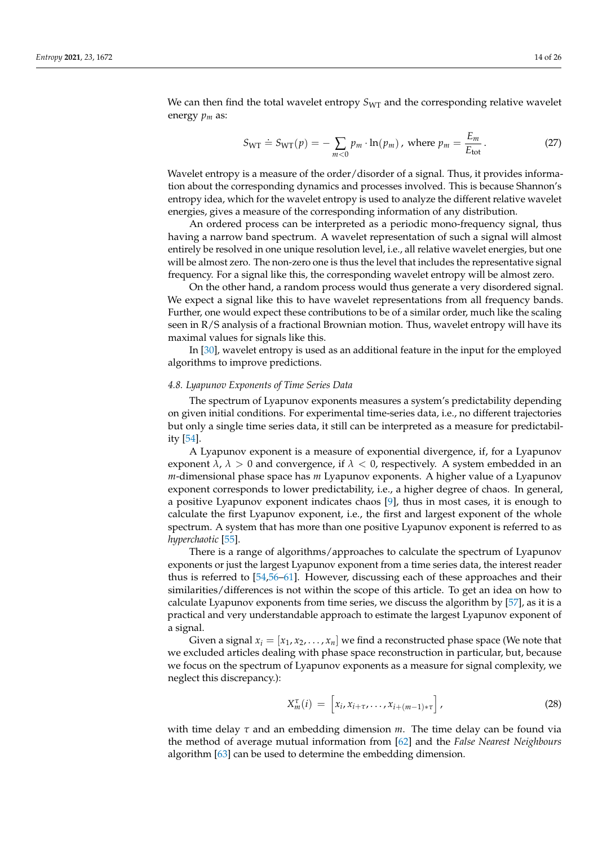We can then find the total wavelet entropy  $S_{\text{WT}}$  and the corresponding relative wavelet energy *p<sup>m</sup>* as:

$$
S_{\text{WT}} \doteq S_{\text{WT}}(p) = -\sum_{m < 0} p_m \cdot \ln(p_m) \,, \text{ where } p_m = \frac{E_m}{E_{\text{tot}}} \,. \tag{27}
$$

Wavelet entropy is a measure of the order/disorder of a signal. Thus, it provides information about the corresponding dynamics and processes involved. This is because Shannon's entropy idea, which for the wavelet entropy is used to analyze the different relative wavelet energies, gives a measure of the corresponding information of any distribution.

An ordered process can be interpreted as a periodic mono-frequency signal, thus having a narrow band spectrum. A wavelet representation of such a signal will almost entirely be resolved in one unique resolution level, i.e., all relative wavelet energies, but one will be almost zero. The non-zero one is thus the level that includes the representative signal frequency. For a signal like this, the corresponding wavelet entropy will be almost zero.

On the other hand, a random process would thus generate a very disordered signal. We expect a signal like this to have wavelet representations from all frequency bands. Further, one would expect these contributions to be of a similar order, much like the scaling seen in R/S analysis of a fractional Brownian motion. Thus, wavelet entropy will have its maximal values for signals like this.

In [\[30\]](#page-23-24), wavelet entropy is used as an additional feature in the input for the employed algorithms to improve predictions.

#### <span id="page-13-0"></span>*4.8. Lyapunov Exponents of Time Series Data*

The spectrum of Lyapunov exponents measures a system's predictability depending on given initial conditions. For experimental time-series data, i.e., no different trajectories but only a single time series data, it still can be interpreted as a measure for predictability [\[54\]](#page-24-12).

A Lyapunov exponent is a measure of exponential divergence, if, for a Lyapunov exponent  $\lambda$ ,  $\lambda > 0$  and convergence, if  $\lambda < 0$ , respectively. A system embedded in an *m*-dimensional phase space has *m* Lyapunov exponents. A higher value of a Lyapunov exponent corresponds to lower predictability, i.e., a higher degree of chaos. In general, a positive Lyapunov exponent indicates chaos [\[9\]](#page-23-3), thus in most cases, it is enough to calculate the first Lyapunov exponent, i.e., the first and largest exponent of the whole spectrum. A system that has more than one positive Lyapunov exponent is referred to as *hyperchaotic* [\[55\]](#page-24-13).

There is a range of algorithms/approaches to calculate the spectrum of Lyapunov exponents or just the largest Lyapunov exponent from a time series data, the interest reader thus is referred to [\[54,](#page-24-12)[56–](#page-24-14)[61\]](#page-24-15). However, discussing each of these approaches and their similarities/differences is not within the scope of this article. To get an idea on how to calculate Lyapunov exponents from time series, we discuss the algorithm by [\[57\]](#page-24-16), as it is a practical and very understandable approach to estimate the largest Lyapunov exponent of a signal.

Given a signal  $x_i = [x_1, x_2, \dots, x_n]$  we find a reconstructed phase space (We note that we excluded articles dealing with phase space reconstruction in particular, but, because we focus on the spectrum of Lyapunov exponents as a measure for signal complexity, we neglect this discrepancy.):

$$
X_m^{\tau}(i) = \left[x_i, x_{i+\tau}, \dots, x_{i+(m-1)*\tau}\right],
$$
\n(28)

with time delay *τ* and an embedding dimension *m*. The time delay can be found via the method of average mutual information from [\[62\]](#page-24-17) and the *False Nearest Neighbours* algorithm [\[63\]](#page-24-18) can be used to determine the embedding dimension.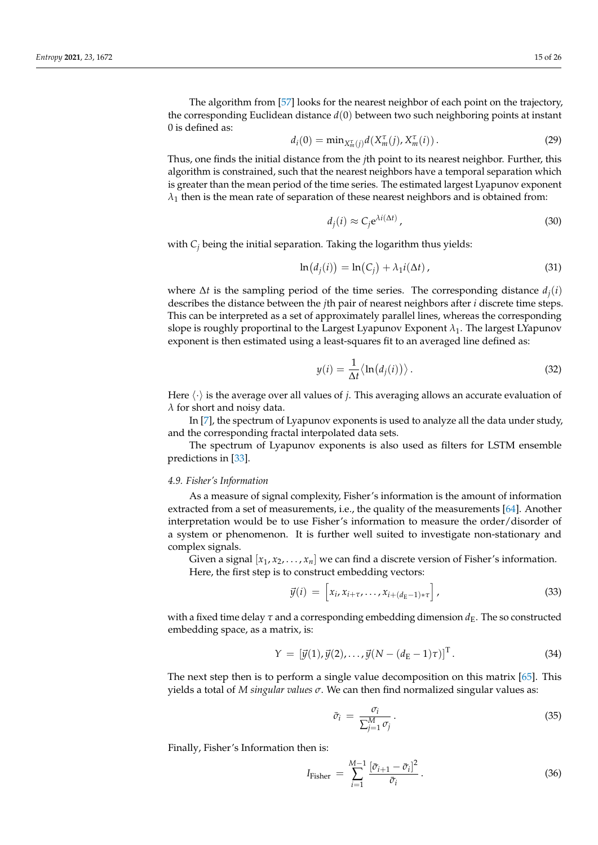$$
d_i(0) = \min_{X_m^{\tau}(j)} d(X_m^{\tau}(j), X_m^{\tau}(i)).
$$
\n(29)

Thus, one finds the initial distance from the *j*th point to its nearest neighbor. Further, this algorithm is constrained, such that the nearest neighbors have a temporal separation which is greater than the mean period of the time series. The estimated largest Lyapunov exponent  $\lambda_1$  then is the mean rate of separation of these nearest neighbors and is obtained from:

$$
d_j(i) \approx C_j e^{\lambda i(\Delta t)}\,,\tag{30}
$$

with *C<sup>j</sup>* being the initial separation. Taking the logarithm thus yields:

$$
\ln(d_j(i)) = \ln(C_j) + \lambda_1 i(\Delta t), \qquad (31)
$$

where  $\Delta t$  is the sampling period of the time series. The corresponding distance  $d_i(i)$ describes the distance between the *j*th pair of nearest neighbors after *i* discrete time steps. This can be interpreted as a set of approximately parallel lines, whereas the corresponding slope is roughly proportinal to the Largest Lyapunov Exponent  $\lambda_1$ . The largest LYapunov exponent is then estimated using a least-squares fit to an averaged line defined as:

$$
y(i) = \frac{1}{\Delta t} \langle \ln(d_j(i)) \rangle.
$$
 (32)

Here  $\langle \cdot \rangle$  is the average over all values of *j*. This averaging allows an accurate evaluation of *λ* for short and noisy data.

In [\[7\]](#page-23-1), the spectrum of Lyapunov exponents is used to analyze all the data under study, and the corresponding fractal interpolated data sets.

The spectrum of Lyapunov exponents is also used as filters for LSTM ensemble predictions in [\[33\]](#page-23-27).

#### <span id="page-14-0"></span>*4.9. Fisher's Information*

As a measure of signal complexity, Fisher's information is the amount of information extracted from a set of measurements, i.e., the quality of the measurements [\[64\]](#page-24-19). Another interpretation would be to use Fisher's information to measure the order/disorder of a system or phenomenon. It is further well suited to investigate non-stationary and complex signals.

Given a signal  $|x_1, x_2, \ldots, x_n|$  we can find a discrete version of Fisher's information. Here, the first step is to construct embedding vectors:

$$
\vec{y}(i) = \left[x_i, x_{i+\tau}, \dots, x_{i+(d_E-1)*\tau}\right],
$$
\n(33)

with a fixed time delay  $\tau$  and a corresponding embedding dimension  $d_E$ . The so constructed embedding space, as a matrix, is:

$$
Y = [\vec{y}(1), \vec{y}(2), \dots, \vec{y}(N - (d_{E} - 1)\tau)]^{T}.
$$
 (34)

The next step then is to perform a single value decomposition on this matrix [\[65\]](#page-24-20). This yields a total of *M singular values σ*. We can then find normalized singular values as:

$$
\bar{\sigma}_i = \frac{\sigma_i}{\sum_{j=1}^M \sigma_j} \,. \tag{35}
$$

Finally, Fisher's Information then is:

$$
I_{\text{Fisher}} = \sum_{i=1}^{M-1} \frac{[\bar{\sigma}_{i+1} - \bar{\sigma}_i]^2}{\bar{\sigma}_i}.
$$
 (36)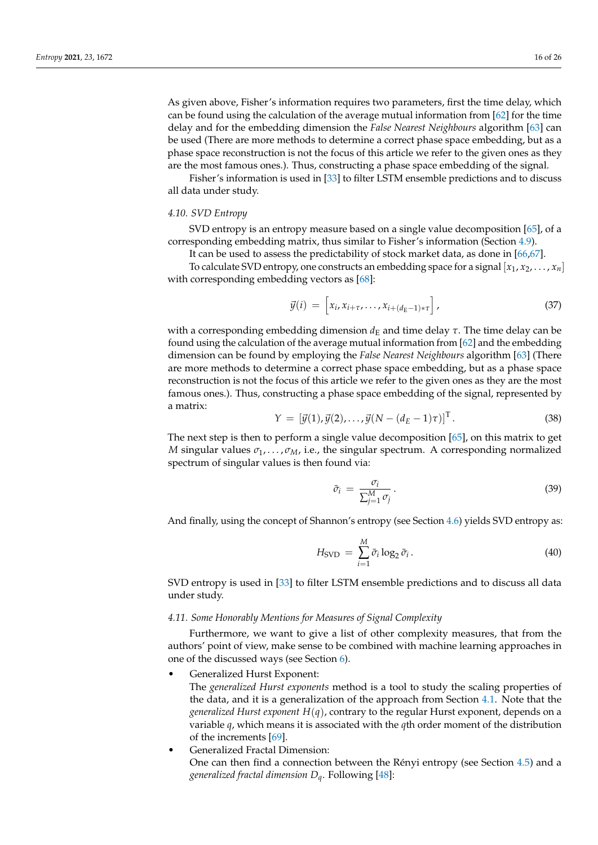As given above, Fisher's information requires two parameters, first the time delay, which can be found using the calculation of the average mutual information from [\[62\]](#page-24-17) for the time delay and for the embedding dimension the *False Nearest Neighbours* algorithm [\[63\]](#page-24-18) can be used (There are more methods to determine a correct phase space embedding, but as a phase space reconstruction is not the focus of this article we refer to the given ones as they are the most famous ones.). Thus, constructing a phase space embedding of the signal.

Fisher's information is used in [\[33\]](#page-23-27) to filter LSTM ensemble predictions and to discuss all data under study.

#### *4.10. SVD Entropy*

SVD entropy is an entropy measure based on a single value decomposition [\[65\]](#page-24-20), of a corresponding embedding matrix, thus similar to Fisher's information (Section [4.9\)](#page-14-0).

It can be used to assess the predictability of stock market data, as done in [\[66](#page-24-21)[,67\]](#page-24-22).

To calculate SVD entropy, one constructs an embedding space for a signal  $[x_1, x_2, \ldots, x_n]$ with corresponding embedding vectors as [\[68\]](#page-24-23):

$$
\vec{y}(i) = \left[x_i, x_{i+\tau}, \dots, x_{i+(d_E-1)*\tau}\right],
$$
\n(37)

with a corresponding embedding dimension  $d_E$  and time delay  $\tau$ . The time delay can be found using the calculation of the average mutual information from [\[62\]](#page-24-17) and the embedding dimension can be found by employing the *False Nearest Neighbours* algorithm [\[63\]](#page-24-18) (There are more methods to determine a correct phase space embedding, but as a phase space reconstruction is not the focus of this article we refer to the given ones as they are the most famous ones.). Thus, constructing a phase space embedding of the signal, represented by a matrix:

$$
Y = [\vec{y}(1), \vec{y}(2), \dots, \vec{y}(N - (d_E - 1)\tau)]^{T}.
$$
 (38)

The next step is then to perform a single value decomposition [\[65\]](#page-24-20), on this matrix to get *M* singular values  $\sigma_1, \ldots, \sigma_M$ , i.e., the singular spectrum. A corresponding normalized spectrum of singular values is then found via:

$$
\bar{\sigma}_i = \frac{\sigma_i}{\sum_{j=1}^M \sigma_j} \,. \tag{39}
$$

And finally, using the concept of Shannon's entropy (see Section [4.6\)](#page-11-0) yields SVD entropy as:

$$
H_{\rm SVD} = \sum_{i=1}^{M} \bar{\sigma}_i \log_2 \bar{\sigma}_i.
$$
 (40)

SVD entropy is used in [\[33\]](#page-23-27) to filter LSTM ensemble predictions and to discuss all data under study.

### *4.11. Some Honorably Mentions for Measures of Signal Complexity*

Furthermore, we want to give a list of other complexity measures, that from the authors' point of view, make sense to be combined with machine learning approaches in one of the discussed ways (see Section [6\)](#page-20-0).

• Generalized Hurst Exponent:

The *generalized Hurst exponents* method is a tool to study the scaling properties of the data, and it is a generalization of the approach from Section [4.1.](#page-6-1) Note that the *generalized Hurst exponent H*(*q*), contrary to the regular Hurst exponent, depends on a variable *q*, which means it is associated with the *q*th order moment of the distribution of the increments [\[69\]](#page-24-24).

• Generalized Fractal Dimension: One can then find a connection between the Rényi entropy (see Section [4.5\)](#page-10-0) and a *generalized fractal dimension Dq*. Following [\[48\]](#page-24-7):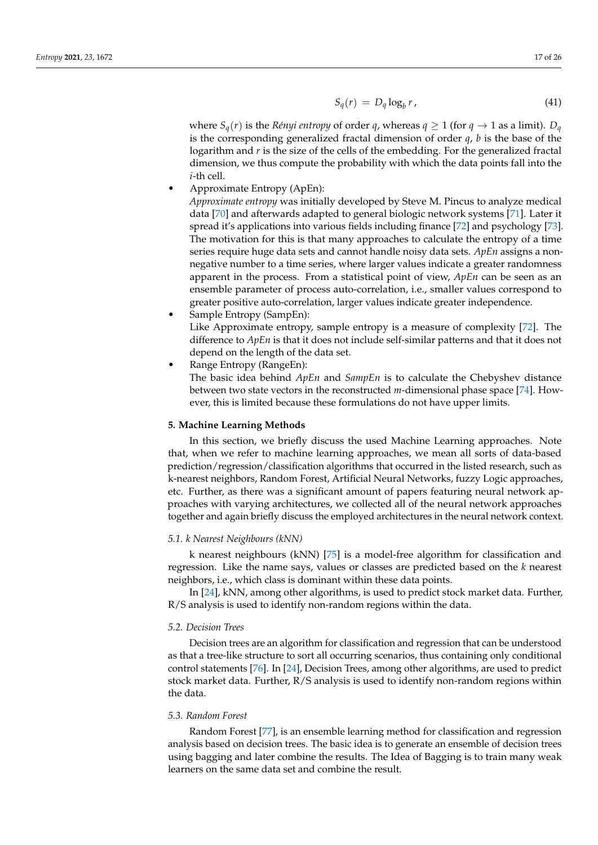$$
S_q(r) = D_q \log_b r, \qquad (41)
$$

where  $S_q(r)$  is the *Rényi entropy* of order *q*, whereas  $q \ge 1$  (for  $q \to 1$  as a limit).  $D_q$ is the corresponding generalized fractal dimension of order *q*, *b* is the base of the logarithm and *r* is the size of the cells of the embedding. For the generalized fractal dimension, we thus compute the probability with which the data points fall into the *i*-th cell.

• Approximate Entropy (ApEn):

*Approximate entropy* was initially developed by Steve M. Pincus to analyze medical data [\[70\]](#page-24-25) and afterwards adapted to general biologic network systems [\[71\]](#page-24-26). Later it spread it's applications into various fields including finance [\[72\]](#page-24-27) and psychology [\[73\]](#page-24-28). The motivation for this is that many approaches to calculate the entropy of a time series require huge data sets and cannot handle noisy data sets. *ApEn* assigns a nonnegative number to a time series, where larger values indicate a greater randomness apparent in the process. From a statistical point of view, *ApEn* can be seen as an ensemble parameter of process auto-correlation, i.e., smaller values correspond to greater positive auto-correlation, larger values indicate greater independence.

• Sample Entropy (SampEn):

Like Approximate entropy, sample entropy is a measure of complexity [\[72\]](#page-24-27). The difference to *ApEn* is that it does not include self-similar patterns and that it does not depend on the length of the data set.

• Range Entropy (RangeEn):

The basic idea behind *ApEn* and *SampEn* is to calculate the Chebyshev distance between two state vectors in the reconstructed *m*-dimensional phase space [\[74\]](#page-24-29). However, this is limited because these formulations do not have upper limits.

## <span id="page-16-0"></span>**5. Machine Learning Methods**

In this section, we briefly discuss the used Machine Learning approaches. Note that, when we refer to machine learning approaches, we mean all sorts of data-based prediction/regression/classification algorithms that occurred in the listed research, such as k-nearest neighbors, Random Forest, Artificial Neural Networks, fuzzy Logic approaches, etc. Further, as there was a significant amount of papers featuring neural network approaches with varying architectures, we collected all of the neural network approaches together and again briefly discuss the employed architectures in the neural network context.

#### *5.1. k Nearest Neighbours (kNN)*

k nearest neighbours (kNN) [\[75\]](#page-25-0) is a model-free algorithm for classification and regression. Like the name says, values or classes are predicted based on the *k* nearest neighbors, i.e., which class is dominant within these data points.

In [\[24\]](#page-23-18), kNN, among other algorithms, is used to predict stock market data. Further, R/S analysis is used to identify non-random regions within the data.

#### *5.2. Decision Trees*

Decision trees are an algorithm for classification and regression that can be understood as that a tree-like structure to sort all occurring scenarios, thus containing only conditional control statements [\[76\]](#page-25-1). In [\[24\]](#page-23-18), Decision Trees, among other algorithms, are used to predict stock market data. Further, R/S analysis is used to identify non-random regions within the data.

## *5.3. Random Forest*

Random Forest [\[77\]](#page-25-2), is an ensemble learning method for classification and regression analysis based on decision trees. The basic idea is to generate an ensemble of decision trees using bagging and later combine the results. The Idea of Bagging is to train many weak learners on the same data set and combine the result.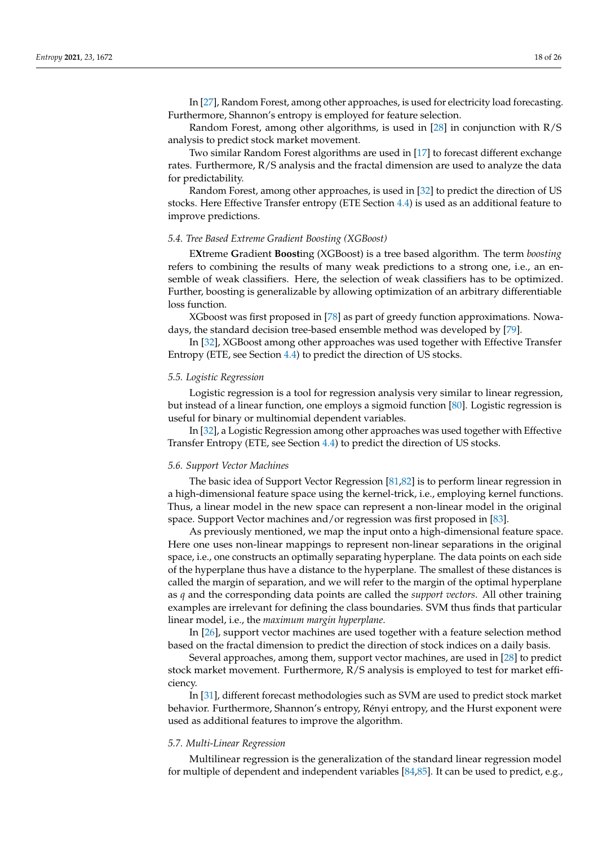In [\[27\]](#page-23-21), Random Forest, among other approaches, is used for electricity load forecasting. Furthermore, Shannon's entropy is employed for feature selection.

Random Forest, among other algorithms, is used in [\[28\]](#page-23-22) in conjunction with R/S analysis to predict stock market movement.

Two similar Random Forest algorithms are used in [\[17\]](#page-23-11) to forecast different exchange rates. Furthermore, R/S analysis and the fractal dimension are used to analyze the data for predictability.

Random Forest, among other approaches, is used in [\[32\]](#page-23-26) to predict the direction of US stocks. Here Effective Transfer entropy (ETE Section [4.4\)](#page-9-0) is used as an additional feature to improve predictions.

#### *5.4. Tree Based Extreme Gradient Boosting (XGBoost)*

E**X**treme **G**radient **Boost**ing (XGBoost) is a tree based algorithm. The term *boosting* refers to combining the results of many weak predictions to a strong one, i.e., an ensemble of weak classifiers. Here, the selection of weak classifiers has to be optimized. Further, boosting is generalizable by allowing optimization of an arbitrary differentiable loss function.

XGboost was first proposed in [\[78\]](#page-25-3) as part of greedy function approximations. Nowadays, the standard decision tree-based ensemble method was developed by [\[79\]](#page-25-4).

In [\[32\]](#page-23-26), XGBoost among other approaches was used together with Effective Transfer Entropy (ETE, see Section [4.4\)](#page-9-0) to predict the direction of US stocks.

### *5.5. Logistic Regression*

Logistic regression is a tool for regression analysis very similar to linear regression, but instead of a linear function, one employs a sigmoid function [\[80\]](#page-25-5). Logistic regression is useful for binary or multinomial dependent variables.

In [\[32\]](#page-23-26), a Logistic Regression among other approaches was used together with Effective Transfer Entropy (ETE, see Section [4.4\)](#page-9-0) to predict the direction of US stocks.

## *5.6. Support Vector Machines*

The basic idea of Support Vector Regression [\[81](#page-25-6)[,82\]](#page-25-7) is to perform linear regression in a high-dimensional feature space using the kernel-trick, i.e., employing kernel functions. Thus, a linear model in the new space can represent a non-linear model in the original space. Support Vector machines and/or regression was first proposed in [\[83\]](#page-25-8).

As previously mentioned, we map the input onto a high-dimensional feature space. Here one uses non-linear mappings to represent non-linear separations in the original space, i.e., one constructs an optimally separating hyperplane. The data points on each side of the hyperplane thus have a distance to the hyperplane. The smallest of these distances is called the margin of separation, and we will refer to the margin of the optimal hyperplane as *q* and the corresponding data points are called the *support vectors*. All other training examples are irrelevant for defining the class boundaries. SVM thus finds that particular linear model, i.e., the *maximum margin hyperplane*.

In [\[26\]](#page-23-20), support vector machines are used together with a feature selection method based on the fractal dimension to predict the direction of stock indices on a daily basis.

Several approaches, among them, support vector machines, are used in [\[28\]](#page-23-22) to predict stock market movement. Furthermore, R/S analysis is employed to test for market efficiency.

In [\[31\]](#page-23-25), different forecast methodologies such as SVM are used to predict stock market behavior. Furthermore, Shannon's entropy, Rényi entropy, and the Hurst exponent were used as additional features to improve the algorithm.

#### *5.7. Multi-Linear Regression*

Multilinear regression is the generalization of the standard linear regression model for multiple of dependent and independent variables [\[84](#page-25-9)[,85\]](#page-25-10). It can be used to predict, e.g.,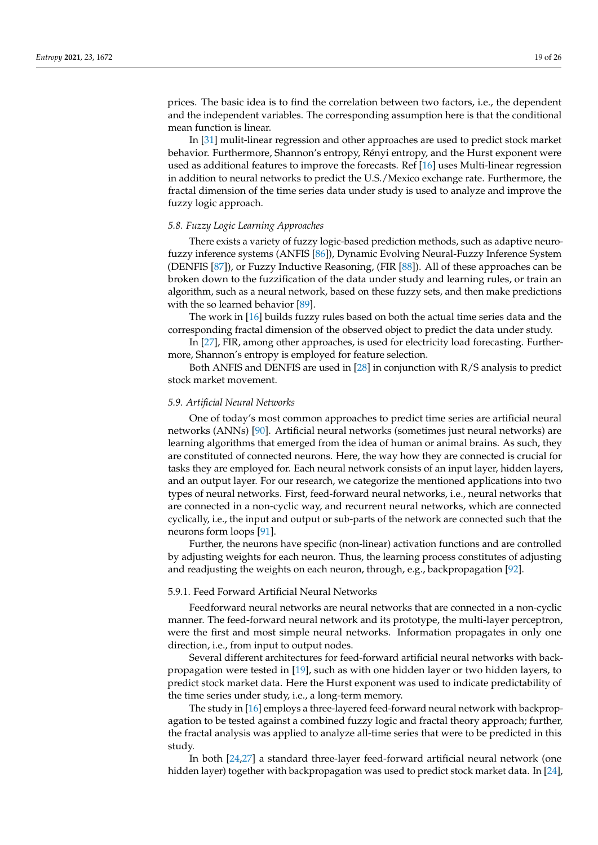prices. The basic idea is to find the correlation between two factors, i.e., the dependent and the independent variables. The corresponding assumption here is that the conditional mean function is linear.

In [\[31\]](#page-23-25) mulit-linear regression and other approaches are used to predict stock market behavior. Furthermore, Shannon's entropy, Rényi entropy, and the Hurst exponent were used as additional features to improve the forecasts. Ref [\[16\]](#page-23-10) uses Multi-linear regression in addition to neural networks to predict the U.S./Mexico exchange rate. Furthermore, the fractal dimension of the time series data under study is used to analyze and improve the fuzzy logic approach.

## *5.8. Fuzzy Logic Learning Approaches*

There exists a variety of fuzzy logic-based prediction methods, such as adaptive neurofuzzy inference systems (ANFIS [\[86\]](#page-25-11)), Dynamic Evolving Neural-Fuzzy Inference System (DENFIS [\[87\]](#page-25-12)), or Fuzzy Inductive Reasoning, (FIR [\[88\]](#page-25-13)). All of these approaches can be broken down to the fuzzification of the data under study and learning rules, or train an algorithm, such as a neural network, based on these fuzzy sets, and then make predictions with the so learned behavior [\[89\]](#page-25-14).

The work in [\[16\]](#page-23-10) builds fuzzy rules based on both the actual time series data and the corresponding fractal dimension of the observed object to predict the data under study.

In [\[27\]](#page-23-21), FIR, among other approaches, is used for electricity load forecasting. Furthermore, Shannon's entropy is employed for feature selection.

Both ANFIS and DENFIS are used in [\[28\]](#page-23-22) in conjunction with R/S analysis to predict stock market movement.

#### *5.9. Artificial Neural Networks*

One of today's most common approaches to predict time series are artificial neural networks (ANNs) [\[90\]](#page-25-15). Artificial neural networks (sometimes just neural networks) are learning algorithms that emerged from the idea of human or animal brains. As such, they are constituted of connected neurons. Here, the way how they are connected is crucial for tasks they are employed for. Each neural network consists of an input layer, hidden layers, and an output layer. For our research, we categorize the mentioned applications into two types of neural networks. First, feed-forward neural networks, i.e., neural networks that are connected in a non-cyclic way, and recurrent neural networks, which are connected cyclically, i.e., the input and output or sub-parts of the network are connected such that the neurons form loops [\[91\]](#page-25-16).

Further, the neurons have specific (non-linear) activation functions and are controlled by adjusting weights for each neuron. Thus, the learning process constitutes of adjusting and readjusting the weights on each neuron, through, e.g., backpropagation [\[92\]](#page-25-17).

### 5.9.1. Feed Forward Artificial Neural Networks

Feedforward neural networks are neural networks that are connected in a non-cyclic manner. The feed-forward neural network and its prototype, the multi-layer perceptron, were the first and most simple neural networks. Information propagates in only one direction, i.e., from input to output nodes.

Several different architectures for feed-forward artificial neural networks with backpropagation were tested in [\[19\]](#page-23-13), such as with one hidden layer or two hidden layers, to predict stock market data. Here the Hurst exponent was used to indicate predictability of the time series under study, i.e., a long-term memory.

The study in [\[16\]](#page-23-10) employs a three-layered feed-forward neural network with backpropagation to be tested against a combined fuzzy logic and fractal theory approach; further, the fractal analysis was applied to analyze all-time series that were to be predicted in this study.

In both [\[24,](#page-23-18)[27\]](#page-23-21) a standard three-layer feed-forward artificial neural network (one hidden layer) together with backpropagation was used to predict stock market data. In [\[24\]](#page-23-18),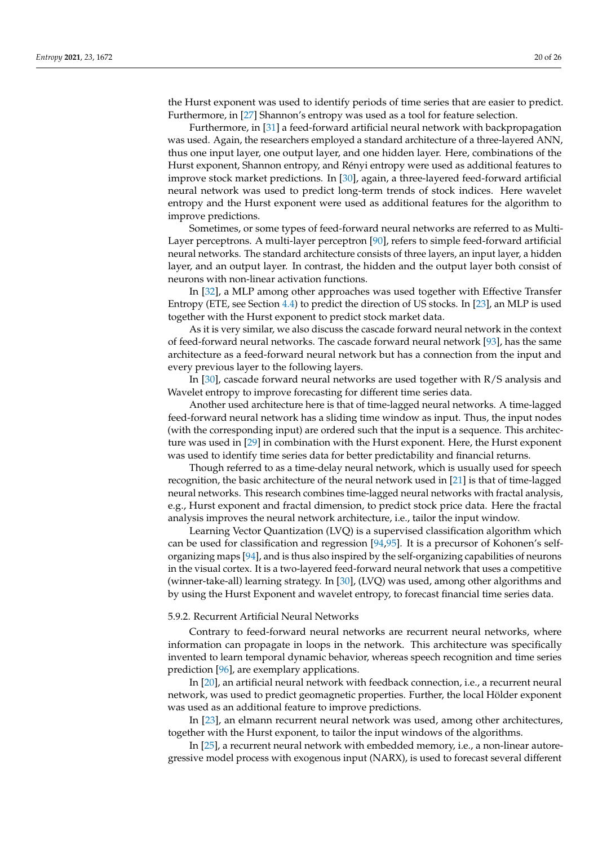the Hurst exponent was used to identify periods of time series that are easier to predict. Furthermore, in [\[27\]](#page-23-21) Shannon's entropy was used as a tool for feature selection.

Furthermore, in [\[31\]](#page-23-25) a feed-forward artificial neural network with backpropagation was used. Again, the researchers employed a standard architecture of a three-layered ANN, thus one input layer, one output layer, and one hidden layer. Here, combinations of the Hurst exponent, Shannon entropy, and Rényi entropy were used as additional features to improve stock market predictions. In [\[30\]](#page-23-24), again, a three-layered feed-forward artificial neural network was used to predict long-term trends of stock indices. Here wavelet entropy and the Hurst exponent were used as additional features for the algorithm to improve predictions.

Sometimes, or some types of feed-forward neural networks are referred to as Multi-Layer perceptrons. A multi-layer perceptron [\[90\]](#page-25-15), refers to simple feed-forward artificial neural networks. The standard architecture consists of three layers, an input layer, a hidden layer, and an output layer. In contrast, the hidden and the output layer both consist of neurons with non-linear activation functions.

In [\[32\]](#page-23-26), a MLP among other approaches was used together with Effective Transfer Entropy (ETE, see Section [4.4\)](#page-9-0) to predict the direction of US stocks. In [\[23\]](#page-23-17), an MLP is used together with the Hurst exponent to predict stock market data.

As it is very similar, we also discuss the cascade forward neural network in the context of feed-forward neural networks. The cascade forward neural network [\[93\]](#page-25-18), has the same architecture as a feed-forward neural network but has a connection from the input and every previous layer to the following layers.

In [\[30\]](#page-23-24), cascade forward neural networks are used together with R/S analysis and Wavelet entropy to improve forecasting for different time series data.

Another used architecture here is that of time-lagged neural networks. A time-lagged feed-forward neural network has a sliding time window as input. Thus, the input nodes (with the corresponding input) are ordered such that the input is a sequence. This architecture was used in [\[29\]](#page-23-23) in combination with the Hurst exponent. Here, the Hurst exponent was used to identify time series data for better predictability and financial returns.

Though referred to as a time-delay neural network, which is usually used for speech recognition, the basic architecture of the neural network used in [\[21\]](#page-23-15) is that of time-lagged neural networks. This research combines time-lagged neural networks with fractal analysis, e.g., Hurst exponent and fractal dimension, to predict stock price data. Here the fractal analysis improves the neural network architecture, i.e., tailor the input window.

Learning Vector Quantization (LVQ) is a supervised classification algorithm which can be used for classification and regression [\[94](#page-25-19)[,95\]](#page-25-20). It is a precursor of Kohonen's selforganizing maps [\[94\]](#page-25-19), and is thus also inspired by the self-organizing capabilities of neurons in the visual cortex. It is a two-layered feed-forward neural network that uses a competitive (winner-take-all) learning strategy. In [\[30\]](#page-23-24), (LVQ) was used, among other algorithms and by using the Hurst Exponent and wavelet entropy, to forecast financial time series data.

#### 5.9.2. Recurrent Artificial Neural Networks

Contrary to feed-forward neural networks are recurrent neural networks, where information can propagate in loops in the network. This architecture was specifically invented to learn temporal dynamic behavior, whereas speech recognition and time series prediction [\[96\]](#page-25-21), are exemplary applications.

In [\[20\]](#page-23-14), an artificial neural network with feedback connection, i.e., a recurrent neural network, was used to predict geomagnetic properties. Further, the local Hölder exponent was used as an additional feature to improve predictions.

In [\[23\]](#page-23-17), an elmann recurrent neural network was used, among other architectures, together with the Hurst exponent, to tailor the input windows of the algorithms.

In [\[25\]](#page-23-19), a recurrent neural network with embedded memory, i.e., a non-linear autoregressive model process with exogenous input (NARX), is used to forecast several different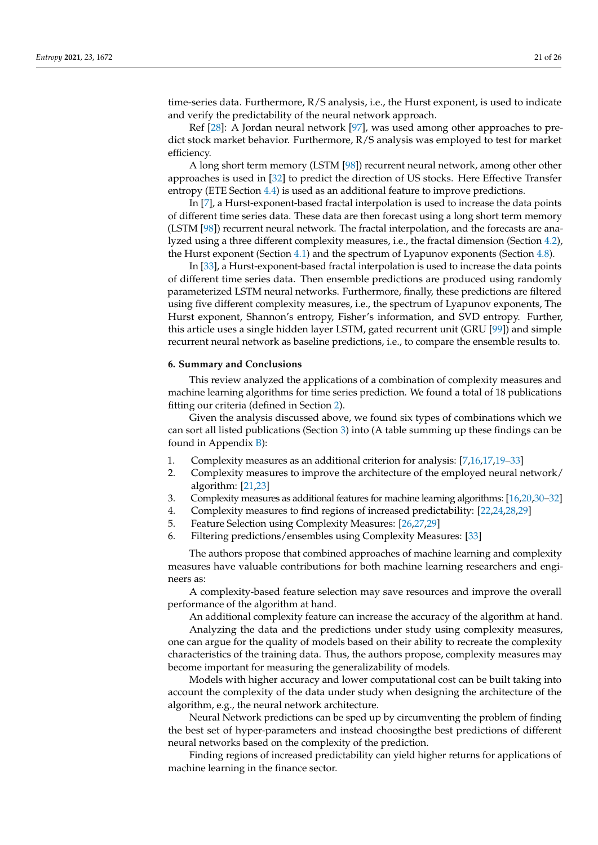time-series data. Furthermore, R/S analysis, i.e., the Hurst exponent, is used to indicate and verify the predictability of the neural network approach.

Ref [\[28\]](#page-23-22): A Jordan neural network [\[97\]](#page-25-22), was used among other approaches to predict stock market behavior. Furthermore, R/S analysis was employed to test for market efficiency.

A long short term memory (LSTM [\[98\]](#page-25-23)) recurrent neural network, among other other approaches is used in [\[32\]](#page-23-26) to predict the direction of US stocks. Here Effective Transfer entropy (ETE Section [4.4\)](#page-9-0) is used as an additional feature to improve predictions.

In [\[7\]](#page-23-1), a Hurst-exponent-based fractal interpolation is used to increase the data points of different time series data. These data are then forecast using a long short term memory (LSTM [\[98\]](#page-25-23)) recurrent neural network. The fractal interpolation, and the forecasts are analyzed using a three different complexity measures, i.e., the fractal dimension (Section [4.2\)](#page-8-0), the Hurst exponent (Section [4.1\)](#page-6-1) and the spectrum of Lyapunov exponents (Section [4.8\)](#page-13-0).

In [\[33\]](#page-23-27), a Hurst-exponent-based fractal interpolation is used to increase the data points of different time series data. Then ensemble predictions are produced using randomly parameterized LSTM neural networks. Furthermore, finally, these predictions are filtered using five different complexity measures, i.e., the spectrum of Lyapunov exponents, The Hurst exponent, Shannon's entropy, Fisher's information, and SVD entropy. Further, this article uses a single hidden layer LSTM, gated recurrent unit (GRU [\[99\]](#page-25-24)) and simple recurrent neural network as baseline predictions, i.e., to compare the ensemble results to.

#### <span id="page-20-0"></span>**6. Summary and Conclusions**

This review analyzed the applications of a combination of complexity measures and machine learning algorithms for time series prediction. We found a total of 18 publications fitting our criteria (defined in Section [2\)](#page-2-0).

Given the analysis discussed above, we found six types of combinations which we can sort all listed publications (Section [3\)](#page-3-0) into (A table summing up these findings can be found in Appendix [B\)](#page-22-5):

- 1. Complexity measures as an additional criterion for analysis: [\[7](#page-23-1)[,16](#page-23-10)[,17](#page-23-11)[,19](#page-23-13)[–33\]](#page-23-27)
- 2. Complexity measures to improve the architecture of the employed neural network/ algorithm: [\[21](#page-23-15)[,23\]](#page-23-17)
- 3. Complexity measures as additional features for machine learning algorithms: [\[16](#page-23-10)[,20](#page-23-14)[,30–](#page-23-24)[32\]](#page-23-26)
- 4. Complexity measures to find regions of increased predictability: [\[22,](#page-23-16)[24,](#page-23-18)[28](#page-23-22)[,29\]](#page-23-23)
- 5. Feature Selection using Complexity Measures: [\[26,](#page-23-20)[27,](#page-23-21)[29\]](#page-23-23)
- 6. Filtering predictions/ensembles using Complexity Measures: [\[33\]](#page-23-27)

The authors propose that combined approaches of machine learning and complexity measures have valuable contributions for both machine learning researchers and engineers as:

A complexity-based feature selection may save resources and improve the overall performance of the algorithm at hand.

An additional complexity feature can increase the accuracy of the algorithm at hand.

Analyzing the data and the predictions under study using complexity measures, one can argue for the quality of models based on their ability to recreate the complexity characteristics of the training data. Thus, the authors propose, complexity measures may become important for measuring the generalizability of models.

Models with higher accuracy and lower computational cost can be built taking into account the complexity of the data under study when designing the architecture of the algorithm, e.g., the neural network architecture.

Neural Network predictions can be sped up by circumventing the problem of finding the best set of hyper-parameters and instead choosingthe best predictions of different neural networks based on the complexity of the prediction.

Finding regions of increased predictability can yield higher returns for applications of machine learning in the finance sector.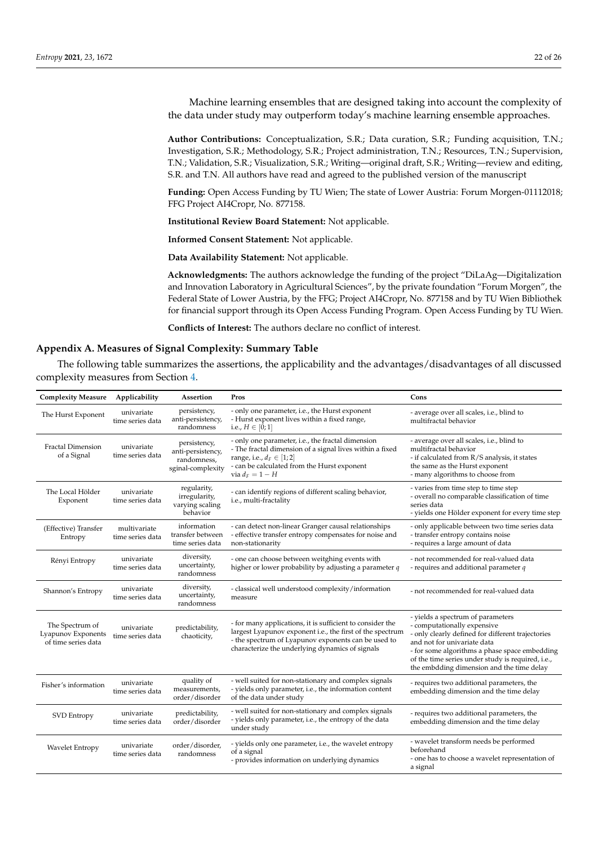Machine learning ensembles that are designed taking into account the complexity of the data under study may outperform today's machine learning ensemble approaches.

**Author Contributions:** Conceptualization, S.R.; Data curation, S.R.; Funding acquisition, T.N.; Investigation, S.R.; Methodology, S.R.; Project administration, T.N.; Resources, T.N.; Supervision, T.N.; Validation, S.R.; Visualization, S.R.; Writing—original draft, S.R.; Writing—review and editing, S.R. and T.N. All authors have read and agreed to the published version of the manuscript

**Funding:** Open Access Funding by TU Wien; The state of Lower Austria: Forum Morgen-01112018; FFG Project AI4Cropr, No. 877158.

**Institutional Review Board Statement:** Not applicable.

**Informed Consent Statement:** Not applicable.

**Data Availability Statement:** Not applicable.

**Acknowledgments:** The authors acknowledge the funding of the project "DiLaAg—Digitalization and Innovation Laboratory in Agricultural Sciences", by the private foundation "Forum Morgen", the Federal State of Lower Austria, by the FFG; Project AI4Cropr, No. 877158 and by TU Wien Bibliothek for financial support through its Open Access Funding Program. Open Access Funding by TU Wien.

**Conflicts of Interest:** The authors declare no conflict of interest.

### <span id="page-21-0"></span>**Appendix A. Measures of Signal Complexity: Summary Table**

The following table summarizes the assertions, the applicability and the advantages/disadvantages of all discussed complexity measures from Section [4.](#page-6-0)

| <b>Complexity Measure</b>                                    | Applicability                    | Assertion                                                             | Pros                                                                                                                                                                                                                             | Cons                                                                                                                                                                                                                                                                                                    |  |
|--------------------------------------------------------------|----------------------------------|-----------------------------------------------------------------------|----------------------------------------------------------------------------------------------------------------------------------------------------------------------------------------------------------------------------------|---------------------------------------------------------------------------------------------------------------------------------------------------------------------------------------------------------------------------------------------------------------------------------------------------------|--|
| The Hurst Exponent                                           | univariate<br>time series data   | persistency,<br>anti-persistency,<br>randomness                       | - only one parameter, i.e., the Hurst exponent<br>- Hurst exponent lives within a fixed range,<br>i.e., $H \in [0;1]$                                                                                                            | - average over all scales, i.e., blind to<br>multifractal behavior                                                                                                                                                                                                                                      |  |
| <b>Fractal Dimension</b><br>of a Signal                      | univariate<br>time series data   | persistency,<br>anti-persistency,<br>randomness,<br>sginal-complexity | - only one parameter, i.e., the fractal dimension<br>- The fractal dimension of a signal lives within a fixed<br>range, i.e., $d_F \in [1,2]$<br>- can be calculated from the Hurst exponent<br>via $d_F = 1 - H$                | - average over all scales, i.e., blind to<br>multifractal behavior<br>- if calculated from R/S analysis, it states<br>the same as the Hurst exponent<br>- many algorithms to choose from                                                                                                                |  |
| The Local Hölder<br>Exponent                                 | univariate<br>time series data   | regularity,<br>irregularity,<br>varying scaling<br>behavior           | - can identify regions of different scaling behavior,<br>i.e., multi-fractality                                                                                                                                                  | - varies from time step to time step<br>- overall no comparable classification of time<br>series data<br>- yields one Hölder exponent for every time step                                                                                                                                               |  |
| (Effective) Transfer<br>Entropy                              | multivariate<br>time series data | information<br>transfer between<br>time series data                   | - can detect non-linear Granger causal relationships<br>- effective transfer entropy compensates for noise and<br>non-stationarity                                                                                               | - only applicable between two time series data<br>- transfer entropy contains noise<br>- requires a large amount of data                                                                                                                                                                                |  |
| Rényi Entropy                                                | univariate<br>time series data   | diversity,<br>uncertainty,<br>randomness                              | - one can choose between weitghing events with<br>higher or lower probability by adjusting a parameter $q$                                                                                                                       | - not recommended for real-valued data<br>- requires and additional parameter q                                                                                                                                                                                                                         |  |
| Shannon's Entropy                                            | univariate<br>time series data   | diversity,<br>uncertainty,<br>randomness                              | - classical well understood complexity/information<br>measure                                                                                                                                                                    | - not recommended for real-valued data                                                                                                                                                                                                                                                                  |  |
| The Spectrum of<br>Lyapunov Exponents<br>of time series data | univariate<br>time series data   | predictability,<br>chaoticity,                                        | - for many applications, it is sufficient to consider the<br>largest Lyapunov exponent i.e., the first of the spectrum<br>- the spectrum of Lyapunov exponents can be used to<br>characterize the underlying dynamics of signals | - yields a spectrum of parameters<br>- computationally expensive<br>- only clearly defined for different trajectories<br>and not for univariate data<br>- for some algorithms a phase space embedding<br>of the time series under study is required, i.e.,<br>the embdding dimension and the time delay |  |
| Fisher's information                                         | univariate<br>time series data   | quality of<br>measurements,<br>order/disorder                         | - well suited for non-stationary and complex signals<br>- yields only parameter, i.e., the information content<br>of the data under study                                                                                        | - requires two additional parameters, the<br>embedding dimension and the time delay                                                                                                                                                                                                                     |  |
| <b>SVD</b> Entropy                                           | univariate<br>time series data   | predictability,<br>order/disorder                                     | - well suited for non-stationary and complex signals<br>- yields only parameter, i.e., the entropy of the data<br>under study                                                                                                    | - requires two additional parameters, the<br>embedding dimension and the time delay                                                                                                                                                                                                                     |  |
| Wavelet Entropy                                              | univariate<br>time series data   | order/disorder,<br>randomness                                         | - yields only one parameter, i.e., the wavelet entropy<br>of a signal<br>- provides information on underlying dynamics                                                                                                           | - wavelet transform needs be performed<br>beforehand<br>- one has to choose a wavelet representation of<br>a signal                                                                                                                                                                                     |  |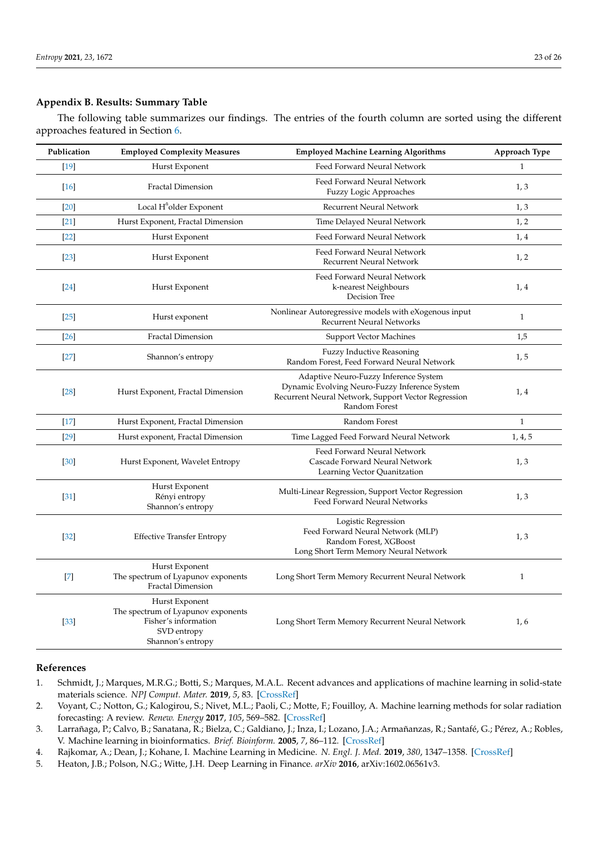## <span id="page-22-5"></span>**Appendix B. Results: Summary Table**

The following table summarizes our findings. The entries of the fourth column are sorted using the different approaches featured in Section [6.](#page-20-0)

| Publication | <b>Employed Complexity Measures</b>                                                                              | <b>Employed Machine Learning Algorithms</b>                                                                                                                    |              |
|-------------|------------------------------------------------------------------------------------------------------------------|----------------------------------------------------------------------------------------------------------------------------------------------------------------|--------------|
| $[19]$      | Hurst Exponent                                                                                                   | Feed Forward Neural Network                                                                                                                                    | 1            |
| $[16]$      | <b>Fractal Dimension</b>                                                                                         | Feed Forward Neural Network<br>Fuzzy Logic Approaches                                                                                                          | 1, 3         |
| $[20]$      | Local H <sup>®</sup> older Exponent                                                                              | Recurrent Neural Network                                                                                                                                       | 1, 3         |
| $[21]$      | Hurst Exponent, Fractal Dimension                                                                                | Time Delayed Neural Network                                                                                                                                    | 1, 2         |
| $[22]$      | Hurst Exponent                                                                                                   | Feed Forward Neural Network                                                                                                                                    | 1, 4         |
| $[23]$      | Hurst Exponent                                                                                                   | Feed Forward Neural Network<br><b>Recurrent Neural Network</b>                                                                                                 | 1, 2         |
| [24]        | Hurst Exponent                                                                                                   | Feed Forward Neural Network<br>k-nearest Neighbours<br>Decision Tree                                                                                           | 1,4          |
| $[25]$      | Nonlinear Autoregressive models with eXogenous input<br>Hurst exponent<br><b>Recurrent Neural Networks</b>       |                                                                                                                                                                | $\mathbf{1}$ |
| $[26]$      | <b>Fractal Dimension</b>                                                                                         | <b>Support Vector Machines</b>                                                                                                                                 | 1,5          |
| $[27]$      | Shannon's entropy                                                                                                | <b>Fuzzy Inductive Reasoning</b><br>Random Forest, Feed Forward Neural Network                                                                                 | 1, 5         |
| $[28]$      | Hurst Exponent, Fractal Dimension                                                                                | Adaptive Neuro-Fuzzy Inference System<br>Dynamic Evolving Neuro-Fuzzy Inference System<br>Recurrent Neural Network, Support Vector Regression<br>Random Forest | 1,4          |
| $[17]$      | Hurst Exponent, Fractal Dimension                                                                                | Random Forest                                                                                                                                                  | $\mathbf{1}$ |
| [29]        | Hurst exponent, Fractal Dimension                                                                                | Time Lagged Feed Forward Neural Network                                                                                                                        | 1, 4, 5      |
| [30]        | Hurst Exponent, Wavelet Entropy                                                                                  | Feed Forward Neural Network<br>Cascade Forward Neural Network<br>Learning Vector Quanitzation                                                                  | 1, 3         |
| $[31]$      | Hurst Exponent<br>Rényi entropy<br>Shannon's entropy                                                             | Multi-Linear Regression, Support Vector Regression<br>Feed Forward Neural Networks                                                                             | 1, 3         |
| $[32]$      | <b>Effective Transfer Entropy</b>                                                                                | Logistic Regression<br>Feed Forward Neural Network (MLP)<br>Random Forest, XGBoost<br>Long Short Term Memory Neural Network                                    | 1, 3         |
| $[7]$       | Hurst Exponent<br>The spectrum of Lyapunov exponents<br><b>Fractal Dimension</b>                                 | Long Short Term Memory Recurrent Neural Network                                                                                                                | $\mathbf{1}$ |
| [33]        | Hurst Exponent<br>The spectrum of Lyapunov exponents<br>Fisher's information<br>SVD entropy<br>Shannon's entropy | Long Short Term Memory Recurrent Neural Network                                                                                                                | 1,6          |

## **References**

- <span id="page-22-0"></span>1. Schmidt, J.; Marques, M.R.G.; Botti, S.; Marques, M.A.L. Recent advances and applications of machine learning in solid-state materials science. *NPJ Comput. Mater.* **2019**, *5*, 83. [\[CrossRef\]](http://doi.org/10.1038/s41524-019-0221-0)
- <span id="page-22-1"></span>2. Voyant, C.; Notton, G.; Kalogirou, S.; Nivet, M.L.; Paoli, C.; Motte, F.; Fouilloy, A. Machine learning methods for solar radiation forecasting: A review. *Renew. Energy* **2017**, *105*, 569–582. [\[CrossRef\]](http://dx.doi.org/10.1016/j.renene.2016.12.095)
- <span id="page-22-2"></span>3. Larrañaga, P.; Calvo, B.; Sanatana, R.; Bielza, C.; Galdiano, J.; Inza, I.; Lozano, J.A.; Armañanzas, R.; Santafé, G.; Pérez, A.; Robles, V. Machine learning in bioinformatics. *Brief. Bioinform.* **2005**, *7*, 86–112. [\[CrossRef\]](http://dx.doi.org/10.1093/bib/bbk007)
- <span id="page-22-3"></span>4. Rajkomar, A.; Dean, J.; Kohane, I. Machine Learning in Medicine. *N. Engl. J. Med.* **2019**, *380*, 1347–1358. [\[CrossRef\]](http://dx.doi.org/10.1056/NEJMra1814259)
- <span id="page-22-4"></span>5. Heaton, J.B.; Polson, N.G.; Witte, J.H. Deep Learning in Finance. *arXiv* **2016**, arXiv:1602.06561v3.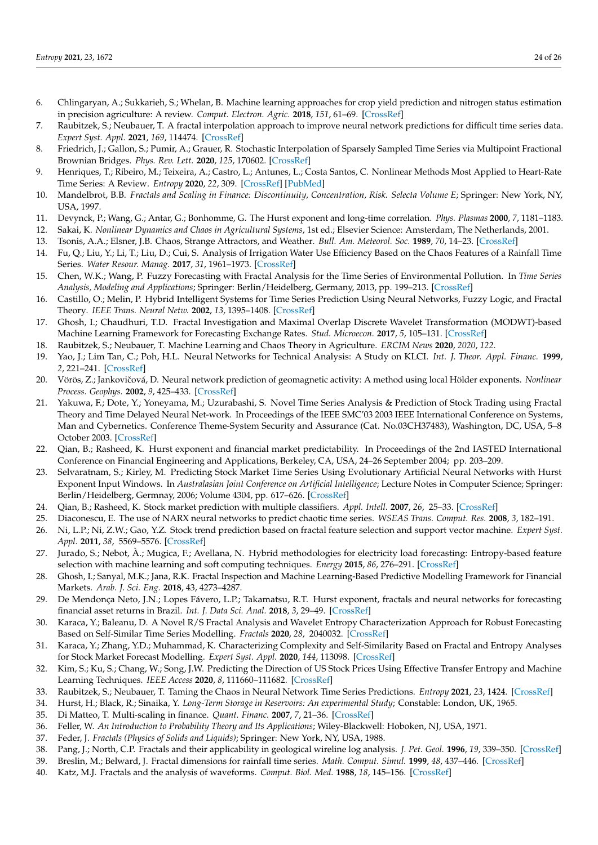- <span id="page-23-0"></span>6. Chlingaryan, A.; Sukkarieh, S.; Whelan, B. Machine learning approaches for crop yield prediction and nitrogen status estimation in precision agriculture: A review. *Comput. Electron. Agric.* **2018**, *151*, 61–69. [\[CrossRef\]](http://dx.doi.org/10.1016/j.compag.2018.05.012)
- <span id="page-23-1"></span>7. Raubitzek, S.; Neubauer, T. A fractal interpolation approach to improve neural network predictions for difficult time series data. *Expert Syst. Appl.* **2021**, *169*, 114474. [\[CrossRef\]](http://dx.doi.org/10.1016/j.eswa.2020.114474)
- <span id="page-23-2"></span>8. Friedrich, J.; Gallon, S.; Pumir, A.; Grauer, R. Stochastic Interpolation of Sparsely Sampled Time Series via Multipoint Fractional Brownian Bridges. *Phys. Rev. Lett.* **2020**, *125*, 170602. [\[CrossRef\]](http://dx.doi.org/10.1103/PhysRevLett.125.170602)
- <span id="page-23-3"></span>9. Henriques, T.; Ribeiro, M.; Teixeira, A.; Castro, L.; Antunes, L.; Costa Santos, C. Nonlinear Methods Most Applied to Heart-Rate Time Series: A Review. *Entropy* **2020**, *22*, 309. [\[CrossRef\]](http://dx.doi.org/10.3390/e22030309) [\[PubMed\]](http://www.ncbi.nlm.nih.gov/pubmed/33286083)
- <span id="page-23-4"></span>10. Mandelbrot, B.B. *Fractals and Scaling in Finance: Discontinuity, Concentration, Risk. Selecta Volume E*; Springer: New York, NY, USA, 1997.
- <span id="page-23-5"></span>11. Devynck, P.; Wang, G.; Antar, G.; Bonhomme, G. The Hurst exponent and long-time correlation. *Phys. Plasmas* **2000**, *7*, 1181–1183.
- <span id="page-23-6"></span>12. Sakai, K. *Nonlinear Dynamics and Chaos in Agricultural Systems*, 1st ed.; Elsevier Science: Amsterdam, The Netherlands, 2001.
- <span id="page-23-7"></span>13. Tsonis, A.A.; Elsner, J.B. Chaos, Strange Attractors, and Weather. *Bull. Am. Meteorol. Soc.* **1989**, *70*, 14–23. [\[CrossRef\]](http://dx.doi.org/10.1175/1520-0477(1989)070<0014:CSAAW>2.0.CO;2)
- <span id="page-23-8"></span>14. Fu, Q.; Liu, Y.; Li, T.; Liu, D.; Cui, S. Analysis of Irrigation Water Use Efficiency Based on the Chaos Features of a Rainfall Time Series. *Water Resour. Manag.* **2017**, *31*, 1961–1973. [\[CrossRef\]](http://dx.doi.org/10.1007/s11269-017-1624-7)
- <span id="page-23-9"></span>15. Chen, W.K.; Wang, P. Fuzzy Forecasting with Fractal Analysis for the Time Series of Environmental Pollution. In *Time Series Analysis, Modeling and Applications*; Springer: Berlin/Heidelberg, Germany, 2013, pp. 199–213. [\[CrossRef\]](http://dx.doi.org/10/ggcfsz)
- <span id="page-23-10"></span>16. Castillo, O.; Melin, P. Hybrid Intelligent Systems for Time Series Prediction Using Neural Networks, Fuzzy Logic, and Fractal Theory. *IEEE Trans. Neural Netw.* **2002**, *13*, 1395–1408. [\[CrossRef\]](http://dx.doi.org/10.1109/TNN.2002.804316)
- <span id="page-23-11"></span>17. Ghosh, I.; Chaudhuri, T.D. Fractal Investigation and Maximal Overlap Discrete Wavelet Transformation (MODWT)-based Machine Learning Framework for Forecasting Exchange Rates. *Stud. Microecon.* **2017**, *5*, 105–131. [\[CrossRef\]](http://dx.doi.org/10.1177/2321022217724978)
- <span id="page-23-12"></span>18. Raubitzek, S.; Neubauer, T. Machine Learning and Chaos Theory in Agriculture. *ERCIM News* **2020**, *2020*, *122*.
- <span id="page-23-13"></span>19. Yao, J.; Lim Tan, C.; Poh, H.L. Neural Networks for Technical Analysis: A Study on KLCI. *Int. J. Theor. Appl. Financ.* **1999**, *2*, 221–241. [\[CrossRef\]](http://dx.doi.org/10.1142/S0219024999000145)
- <span id="page-23-14"></span>20. Vörös, Z.; Jankovičová, D. Neural network prediction of geomagnetic activity: A method using local Hölder exponents. *Nonlinear Process. Geophys.* **2002**, *9*, 425–433. [\[CrossRef\]](http://dx.doi.org/10.5194/npg-9-425-2002)
- <span id="page-23-15"></span>21. Yakuwa, F.; Dote, Y.; Yoneyama, M.; Uzurabashi, S. Novel Time Series Analysis & Prediction of Stock Trading using Fractal Theory and Time Delayed Neural Net-work. In Proceedings of the IEEE SMC'03 2003 IEEE International Conference on Systems, Man and Cybernetics. Conference Theme-System Security and Assurance (Cat. No.03CH37483), Washington, DC, USA, 5–8 October 2003. [\[CrossRef\]](http://dx.doi.org/10/bdkjvs)
- <span id="page-23-16"></span>22. Qian, B.; Rasheed, K. Hurst exponent and financial market predictability. In Proceedings of the 2nd IASTED International Conference on Financial Engineering and Applications, Berkeley, CA, USA, 24–26 September 2004; pp. 203–209.
- <span id="page-23-17"></span>23. Selvaratnam, S.; Kirley, M. Predicting Stock Market Time Series Using Evolutionary Artificial Neural Networks with Hurst Exponent Input Windows. In *Australasian Joint Conference on Artificial Intelligence*; Lecture Notes in Computer Science; Springer: Berlin/Heidelberg, Germnay, 2006; Volume 4304, pp. 617–626. [\[CrossRef\]](http://dx.doi.org/10.1007/11941439_66)
- <span id="page-23-18"></span>24. Qian, B.; Rasheed, K. Stock market prediction with multiple classifiers. *Appl. Intell.* **2007**, *26*, 25–33. [\[CrossRef\]](http://dx.doi.org/10.1007/s10489-006-0001-7)
- <span id="page-23-19"></span>25. Diaconescu, E. The use of NARX neural networks to predict chaotic time series. *WSEAS Trans. Comput. Res.* **2008**, *3*, 182–191.
- <span id="page-23-20"></span>26. Ni, L.P.; Ni, Z.W.; Gao, Y.Z. Stock trend prediction based on fractal feature selection and support vector machine. *Expert Syst. Appl.* **2011**, *38*, 5569–5576. [\[CrossRef\]](http://dx.doi.org/10.1016/j.eswa.2010.10.079)
- <span id="page-23-21"></span>27. Jurado, S.; Nebot, À.; Mugica, F.; Avellana, N. Hybrid methodologies for electricity load forecasting: Entropy-based feature selection with machine learning and soft computing techniques. *Energy* **2015**, *86*, 276–291. [\[CrossRef\]](http://dx.doi.org/10.1016/j.energy.2015.04.039)
- <span id="page-23-22"></span>28. Ghosh, I.; Sanyal, M.K.; Jana, R.K. Fractal Inspection and Machine Learning-Based Predictive Modelling Framework for Financial Markets. *Arab. J. Sci. Eng.* **2018**, 43, 4273–4287.
- <span id="page-23-23"></span>29. De Mendonça Neto, J.N.; Lopes Fávero, L.P.; Takamatsu, R.T. Hurst exponent, fractals and neural networks for forecasting financial asset returns in Brazil. *Int. J. Data Sci. Anal.* **2018**, *3*, 29–49. [\[CrossRef\]](http://dx.doi.org/10.1504/IJDS.2018.10011821)
- <span id="page-23-24"></span>30. Karaca, Y.; Baleanu, D. A Novel R/S Fractal Analysis and Wavelet Entropy Characterization Approach for Robust Forecasting Based on Self-Similar Time Series Modelling. *Fractals* **2020**, *28*, 2040032. [\[CrossRef\]](http://dx.doi.org/10.1142/S0218348X20400320)
- <span id="page-23-25"></span>31. Karaca, Y.; Zhang, Y.D.; Muhammad, K. Characterizing Complexity and Self-Similarity Based on Fractal and Entropy Analyses for Stock Market Forecast Modelling. *Expert Syst. Appl.* **2020**, *144*, 113098. [\[CrossRef\]](http://dx.doi.org/10.1016/j.eswa.2019.113098)
- <span id="page-23-26"></span>32. Kim, S.; Ku, S.; Chang, W.; Song, J.W. Predicting the Direction of US Stock Prices Using Effective Transfer Entropy and Machine Learning Techniques. *IEEE Access* **2020**, *8*, 111660–111682. [\[CrossRef\]](http://dx.doi.org/10.1109/ACCESS.2020.3002174)
- <span id="page-23-27"></span>33. Raubitzek, S.; Neubauer, T. Taming the Chaos in Neural Network Time Series Predictions. *Entropy* **2021**, *23*, 1424. [\[CrossRef\]](http://dx.doi.org/10.3390/e23111424)
- <span id="page-23-28"></span>34. Hurst, H.; Black, R.; Sinaika, Y. *Long-Term Storage in Reservoirs: An experimental Study*; Constable: London, UK, 1965.
- <span id="page-23-29"></span>35. Di Matteo, T. Multi-scaling in finance. *Quant. Financ.* **2007**, *7*, 21–36. [\[CrossRef\]](http://dx.doi.org/10.1080/14697680600969727)
- <span id="page-23-30"></span>36. Feller, W. *An Introduction to Probability Theory and Its Applications*; Wiley-Blackwell: Hoboken, NJ, USA, 1971.
- <span id="page-23-31"></span>37. Feder, J. *Fractals (Physics of Solids and Liquids)*; Springer: New York, NY, USA, 1988.
- 38. Pang, J.; North, C.P. Fractals and their applicability in geological wireline log analysis. *J. Pet. Geol.* **1996**, *19*, 339–350. [\[CrossRef\]](http://dx.doi.org/10.1111/j.1747-5457.1996.tb00438.x)
- <span id="page-23-32"></span>39. Breslin, M.; Belward, J. Fractal dimensions for rainfall time series. *Math. Comput. Simul.* **1999**, *48*, 437–446. [\[CrossRef\]](http://dx.doi.org/10.1016/S0378-4754(99)00023-3)
- <span id="page-23-33"></span>40. Katz, M.J. Fractals and the analysis of waveforms. *Comput. Biol. Med.* **1988**, *18*, 145–156. [\[CrossRef\]](http://dx.doi.org/10.1016/0010-4825(88)90041-8)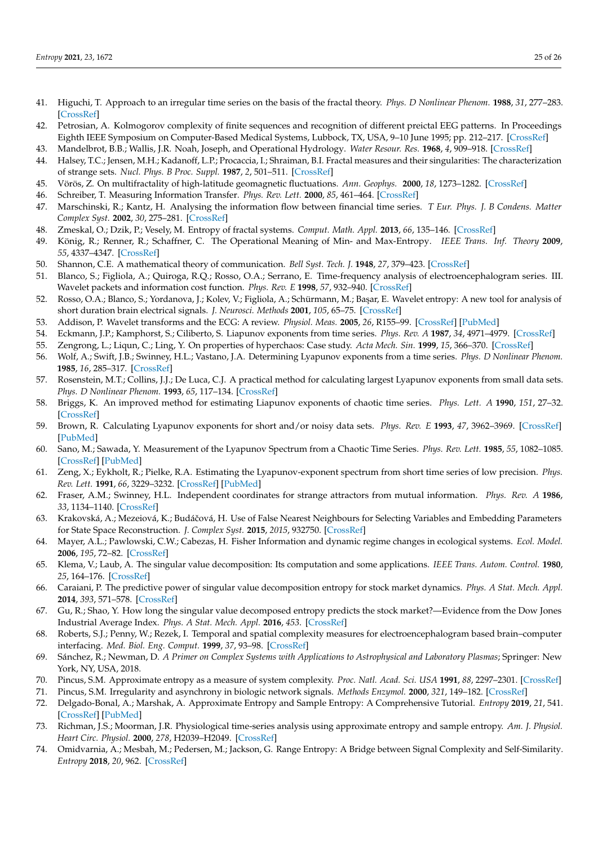- <span id="page-24-0"></span>41. Higuchi, T. Approach to an irregular time series on the basis of the fractal theory. *Phys. D Nonlinear Phenom.* **1988**, *31*, 277–283. [\[CrossRef\]](http://dx.doi.org/10.1016/0167-2789(88)90081-4)
- <span id="page-24-1"></span>42. Petrosian, A. Kolmogorov complexity of finite sequences and recognition of different preictal EEG patterns. In Proceedings Eighth IEEE Symposium on Computer-Based Medical Systems, Lubbock, TX, USA, 9–10 June 1995; pp. 212–217. [\[CrossRef\]](http://dx.doi.org/10.1109/CBMS.1995.465426.)
- <span id="page-24-2"></span>43. Mandelbrot, B.B.; Wallis, J.R. Noah, Joseph, and Operational Hydrology. *Water Resour. Res.* **1968**, *4*, 909–918. [\[CrossRef\]](http://dx.doi.org/10.1029/WR004i005p00909)
- <span id="page-24-3"></span>44. Halsey, T.C.; Jensen, M.H.; Kadanoff, L.P.; Procaccia, I.; Shraiman, B.I. Fractal measures and their singularities: The characterization of strange sets. *Nucl. Phys. B Proc. Suppl.* **1987**, *2*, 501–511. [\[CrossRef\]](http://dx.doi.org/10.1016/0920-5632(87)90036-3)
- <span id="page-24-4"></span>45. Vörös, Z. On multifractality of high-latitude geomagnetic fluctuations. *Ann. Geophys.* **2000**, *18*, 1273–1282. [\[CrossRef\]](http://dx.doi.org/10.1007/s00585-000-1273-6)
- <span id="page-24-5"></span>46. Schreiber, T. Measuring Information Transfer. *Phys. Rev. Lett.* **2000**, *85*, 461–464. [\[CrossRef\]](http://dx.doi.org/10.1103/PhysRevLett.85.461)
- <span id="page-24-6"></span>47. Marschinski, R.; Kantz, H. Analysing the information flow between financial time series. *T Eur. Phys. J. B Condens. Matter Complex Syst.* **2002**, *30*, 275–281. [\[CrossRef\]](http://dx.doi.org/10.1140/epjb/e2002-00379-2)
- <span id="page-24-7"></span>48. Zmeskal, O.; Dzik, P.; Vesely, M. Entropy of fractal systems. *Comput. Math. Appl.* **2013**, *66*, 135–146. [\[CrossRef\]](http://dx.doi.org/10.1016/j.camwa.2013.01.017)
- <span id="page-24-8"></span>49. König, R.; Renner, R.; Schaffner, C. The Operational Meaning of Min- and Max-Entropy. *IEEE Trans. Inf. Theory* **2009**, *55*, 4337–4347. [\[CrossRef\]](http://dx.doi.org/10.1109/TIT.2009.2025545)
- <span id="page-24-9"></span>50. Shannon, C.E. A mathematical theory of communication. *Bell Syst. Tech. J.* **1948**, *27*, 379–423. [\[CrossRef\]](http://dx.doi.org/10.1002/j.1538-7305.1948.tb01338.x)
- <span id="page-24-10"></span>51. Blanco, S.; Figliola, A.; Quiroga, R.Q.; Rosso, O.A.; Serrano, E. Time-frequency analysis of electroencephalogram series. III. Wavelet packets and information cost function. *Phys. Rev. E* **1998**, *57*, 932–940. [\[CrossRef\]](http://dx.doi.org/10.1103/PhysRevE.57.932)
- 52. Rosso, O.A.; Blanco, S.; Yordanova, J.; Kolev, V.; Figliola, A.; Schürmann, M.; Ba¸sar, E. Wavelet entropy: A new tool for analysis of short duration brain electrical signals. *J. Neurosci. Methods* **2001**, *105*, 65–75. [\[CrossRef\]](http://dx.doi.org/10.1016/S0165-0270(00)00356-3)
- <span id="page-24-11"></span>53. Addison, P. Wavelet transforms and the ECG: A review. *Physiol. Meas.* **2005**, *26*, R155–99. [\[CrossRef\]](http://dx.doi.org/10.1088/0967-3334/26/5/R01) [\[PubMed\]](http://www.ncbi.nlm.nih.gov/pubmed/16088052)
- <span id="page-24-12"></span>54. Eckmann, J.P.; Kamphorst, S.; Ciliberto, S. Liapunov exponents from time series. *Phys. Rev. A* **1987**, *34*, 4971–4979. [\[CrossRef\]](http://dx.doi.org/10.1103/PhysRevA.34.4971)
- <span id="page-24-13"></span>55. Zengrong, L.; Liqun, C.; Ling, Y. On properties of hyperchaos: Case study. *Acta Mech. Sin.* **1999**, *15*, 366–370. [\[CrossRef\]](http://dx.doi.org/10.1007/BF02487934)
- <span id="page-24-14"></span>56. Wolf, A.; Swift, J.B.; Swinney, H.L.; Vastano, J.A. Determining Lyapunov exponents from a time series. *Phys. D Nonlinear Phenom.* **1985**, *16*, 285–317. [\[CrossRef\]](http://dx.doi.org/10.1016/0167-2789(85)90011-9)
- <span id="page-24-16"></span>57. Rosenstein, M.T.; Collins, J.J.; De Luca, C.J. A practical method for calculating largest Lyapunov exponents from small data sets. *Phys. D Nonlinear Phenom.* **1993**, *65*, 117–134. [\[CrossRef\]](http://dx.doi.org/10.1016/0167-2789(93)90009-P)
- 58. Briggs, K. An improved method for estimating Liapunov exponents of chaotic time series. *Phys. Lett. A* **1990**, *151*, 27–32. [\[CrossRef\]](http://dx.doi.org/10.1016/0375-9601(90)90841-B)
- 59. Brown, R. Calculating Lyapunov exponents for short and/or noisy data sets. *Phys. Rev. E* **1993**, *47*, 3962–3969. [\[CrossRef\]](http://dx.doi.org/10.1103/PhysRevE.47.3962) [\[PubMed\]](http://www.ncbi.nlm.nih.gov/pubmed/9960470)
- 60. Sano, M.; Sawada, Y. Measurement of the Lyapunov Spectrum from a Chaotic Time Series. *Phys. Rev. Lett.* **1985**, *55*, 1082–1085. [\[CrossRef\]](http://dx.doi.org/10.1103/PhysRevLett.55.1082) [\[PubMed\]](http://www.ncbi.nlm.nih.gov/pubmed/10031723)
- <span id="page-24-15"></span>61. Zeng, X.; Eykholt, R.; Pielke, R.A. Estimating the Lyapunov-exponent spectrum from short time series of low precision. *Phys. Rev. Lett.* **1991**, *66*, 3229–3232. [\[CrossRef\]](http://dx.doi.org/10.1103/PhysRevLett.66.3229) [\[PubMed\]](http://www.ncbi.nlm.nih.gov/pubmed/10043734)
- <span id="page-24-17"></span>62. Fraser, A.M.; Swinney, H.L. Independent coordinates for strange attractors from mutual information. *Phys. Rev. A* **1986**, *33*, 1134–1140. [\[CrossRef\]](http://dx.doi.org/10.1103/PhysRevA.33.1134)
- <span id="page-24-18"></span>63. Krakovská, A.; Mezeiová, K.; Budáˇcová, H. Use of False Nearest Neighbours for Selecting Variables and Embedding Parameters for State Space Reconstruction. *J. Complex Syst.* **2015**, *2015*, 932750. [\[CrossRef\]](http://dx.doi.org/10.1155/2015/932750)
- <span id="page-24-19"></span>64. Mayer, A.L.; Pawlowski, C.W.; Cabezas, H. Fisher Information and dynamic regime changes in ecological systems. *Ecol. Model.* **2006**, *195*, 72–82. [\[CrossRef\]](http://dx.doi.org/10.1016/j.ecolmodel.2005.11.011)
- <span id="page-24-20"></span>65. Klema, V.; Laub, A. The singular value decomposition: Its computation and some applications. *IEEE Trans. Autom. Control.* **1980**, *25*, 164–176. [\[CrossRef\]](http://dx.doi.org/10.1109/TAC.1980.1102314)
- <span id="page-24-21"></span>66. Caraiani, P. The predictive power of singular value decomposition entropy for stock market dynamics. *Phys. A Stat. Mech. Appl.* **2014**, *393*, 571–578. [\[CrossRef\]](http://dx.doi.org/10.1016/j.physa.2013.08.071)
- <span id="page-24-22"></span>67. Gu, R.; Shao, Y. How long the singular value decomposed entropy predicts the stock market?—Evidence from the Dow Jones Industrial Average Index. *Phys. A Stat. Mech. Appl.* **2016**, *453*. [\[CrossRef\]](http://dx.doi.org/10.1016/j.physa.2016.02.030)
- <span id="page-24-23"></span>68. Roberts, S.J.; Penny, W.; Rezek, I. Temporal and spatial complexity measures for electroencephalogram based brain–computer interfacing. *Med. Biol. Eng. Comput.* **1999**, *37*, 93–98. [\[CrossRef\]](http://dx.doi.org/10.1007/BF02513272)
- <span id="page-24-24"></span>69. Sánchez, R.; Newman, D. *A Primer on Complex Systems with Applications to Astrophysical and Laboratory Plasmas*; Springer: New York, NY, USA, 2018.
- <span id="page-24-25"></span>70. Pincus, S.M. Approximate entropy as a measure of system complexity. *Proc. Natl. Acad. Sci. USA* **1991**, *88*, 2297–2301. [\[CrossRef\]](http://dx.doi.org/10.1073/pnas.88.6.2297)
- <span id="page-24-26"></span>71. Pincus, S.M. Irregularity and asynchrony in biologic network signals. *Methods Enzymol.* **2000**, *321*, 149–182. [\[CrossRef\]](http://dx.doi.org/10/dpr6bt)
- <span id="page-24-27"></span>72. Delgado-Bonal, A.; Marshak, A. Approximate Entropy and Sample Entropy: A Comprehensive Tutorial. *Entropy* **2019**, *21*, 541. [\[CrossRef\]](http://dx.doi.org/10.3390/e21060541) [\[PubMed\]](http://www.ncbi.nlm.nih.gov/pubmed/33267255)
- <span id="page-24-28"></span>73. Richman, J.S.; Moorman, J.R. Physiological time-series analysis using approximate entropy and sample entropy. *Am. J. Physiol. Heart Circ. Physiol.* **2000**, *278*, H2039–H2049. [\[CrossRef\]](http://dx.doi.org/10.1152/ajpheart.2000.278.6.H2039)
- <span id="page-24-29"></span>74. Omidvarnia, A.; Mesbah, M.; Pedersen, M.; Jackson, G. Range Entropy: A Bridge between Signal Complexity and Self-Similarity. *Entropy* **2018**, *20*, 962. [\[CrossRef\]](http://dx.doi.org/10.3390/e20120962)